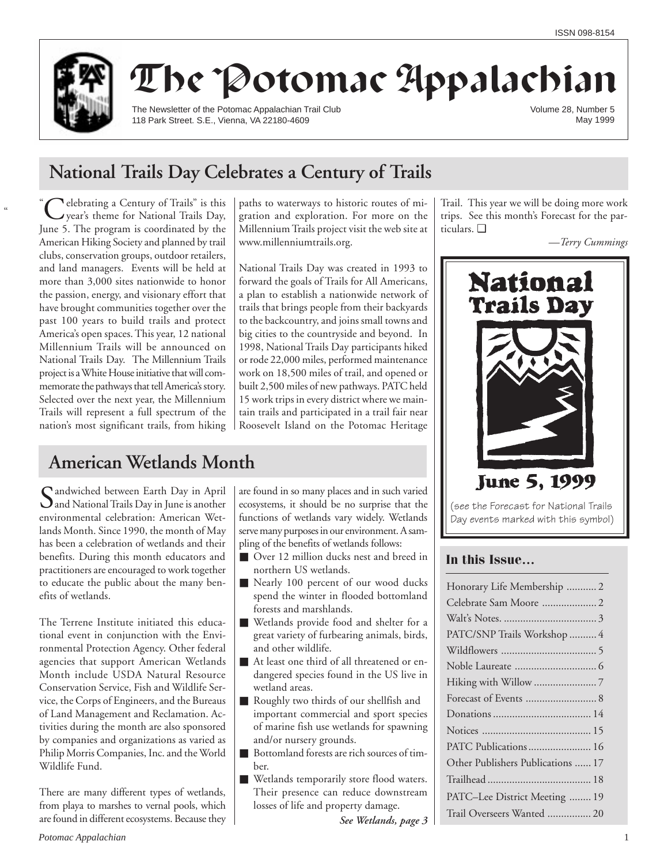

# The Potomac Appalachian

The Newsletter of the Potomac Appalachian Trail Club 118 Park Street. S.E., Vienna, VA 22180-4609

Volume 28, Number 5 May 1999

# **National Trails Day Celebrates a Century of Trails**

 $\alpha$ **Nelebrating a Century of Trails**" is this year's theme for National Trails Day, June 5. The program is coordinated by the American Hiking Society and planned by trail clubs, conservation groups, outdoor retailers, and land managers. Events will be held at more than 3,000 sites nationwide to honor the passion, energy, and visionary effort that have brought communities together over the past 100 years to build trails and protect America's open spaces. This year, 12 national Millennium Trails will be announced on National Trails Day. The Millennium Trails project is a White House initiative that will commemorate the pathways that tell America's story. Selected over the next year, the Millennium Trails will represent a full spectrum of the nation's most significant trails, from hiking paths to waterways to historic routes of migration and exploration. For more on the Millennium Trails project visit the web site at www.millenniumtrails.org.

National Trails Day was created in 1993 to forward the goals of Trails for All Americans, a plan to establish a nationwide network of trails that brings people from their backyards to the backcountry, and joins small towns and big cities to the countryside and beyond. In 1998, National Trails Day participants hiked or rode 22,000 miles, performed maintenance work on 18,500 miles of trail, and opened or built 2,500 miles of new pathways. PATC held 15 work trips in every district where we maintain trails and participated in a trail fair near Roosevelt Island on the Potomac Heritage

# **American Wetlands Month**

Sandwiched between Earth Day in April  $\mathbf{\mathcal{Q}}$  and National Trails Day in June is another environmental celebration: American Wetlands Month. Since 1990, the month of May has been a celebration of wetlands and their benefits. During this month educators and practitioners are encouraged to work together to educate the public about the many benefits of wetlands.

The Terrene Institute initiated this educational event in conjunction with the Environmental Protection Agency. Other federal agencies that support American Wetlands Month include USDA Natural Resource Conservation Service, Fish and Wildlife Service, the Corps of Engineers, and the Bureaus of Land Management and Reclamation. Activities during the month are also sponsored by companies and organizations as varied as Philip Morris Companies, Inc. and the World Wildlife Fund.

There are many different types of wetlands, from playa to marshes to vernal pools, which are found in different ecosystems. Because they

are found in so many places and in such varied ecosystems, it should be no surprise that the functions of wetlands vary widely. Wetlands serve many purposes in our environment. A sampling of the benefits of wetlands follows:

- Over 12 million ducks nest and breed in northern US wetlands.
- Nearly 100 percent of our wood ducks spend the winter in flooded bottomland forests and marshlands.
- Wetlands provide food and shelter for a great variety of furbearing animals, birds, and other wildlife.
- At least one third of all threatened or endangered species found in the US live in wetland areas.
- Roughly two thirds of our shellfish and important commercial and sport species of marine fish use wetlands for spawning and/or nursery grounds.
- Bottomland forests are rich sources of timber.
- Wetlands temporarily store flood waters. Their presence can reduce downstream losses of life and property damage.

*See Wetlands, page 3*

Trail. This year we will be doing more work trips. See this month's Forecast for the particulars. ❑



# **In this Issue…**

| Honorary Life Membership  2       |
|-----------------------------------|
| Celebrate Sam Moore  2            |
|                                   |
| PATC/SNP Trails Workshop  4       |
|                                   |
|                                   |
|                                   |
| Forecast of Events  8             |
|                                   |
|                                   |
| PATC Publications 16              |
| Other Publishers Publications  17 |
|                                   |
| PATC–Lee District Meeting  19     |
| Trail Overseers Wanted  20        |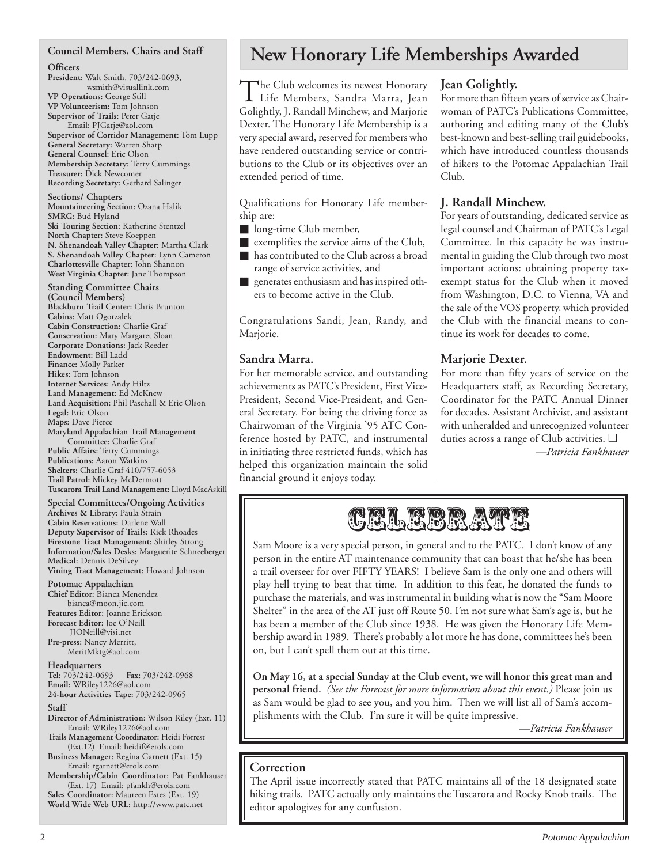### **Council Members, Chairs and Staff**

#### **Officers**

**President:** Walt Smith, 703/242-0693, wsmith@visuallink.com **VP Operations:** George Still **VP Volunteerism:** Tom Johnson **Supervisor of Trails:** Peter Gatje Email: PJGatje@aol.com **Supervisor of Corridor Management:** Tom Lupp **General Secretary:** Warren Sharp **General Counsel:** Eric Olson **Membership Secretary:** Terry Cummings **Treasurer:** Dick Newcomer **Recording Secretary:** Gerhard Salinger

**Sections/ Chapters Mountaineering Section:** Ozana Halik **SMRG**: Bud Hyland **Ski Touring Section:** Katherine Stentzel **North Chapter:** Steve Koeppen **N. Shenandoah Valley Chapter:** Martha Clark **S. Shenandoah Valley Chapter:** Lynn Cameron **Charlottesville Chapter:** John Shannon **West Virginia Chapter:** Jane Thompson

**Standing Committee Chairs (Council Members) Blackburn Trail Center:** Chris Brunton **Cabins:** Matt Ogorzalek **Cabin Construction:** Charlie Graf **Conservation:** Mary Margaret Sloan **Corporate Donations:** Jack Reeder **Endowment:** Bill Ladd **Finance:** Molly Parker **Hikes:** Tom Johnson **Internet Services:** Andy Hiltz **Land Management:** Ed McKnew **Land Acquisition:** Phil Paschall & Eric Olson **Legal:** Eric Olson **Maps:** Dave Pierce **Maryland Appalachian Trail Management Committee:** Charlie Graf **Public Affairs:** Terry Cummings **Publications:** Aaron Watkins

**Shelters:** Charlie Graf 410/757-6053 **Trail Patrol:** Mickey McDermott **Tuscarora Trail Land Management:** Lloyd MacAskill

**Special Committees/Ongoing Activities Archives & Library:** Paula Strain **Cabin Reservations:** Darlene Wall **Deputy Supervisor of Trails:** Rick Rhoades **Firestone Tract Management:** Shirley Strong **Information/Sales Desks:** Marguerite Schneeberger **Medical:** Dennis DeSilvey **Vining Tract Management:** Howard Johnson

**Potomac Appalachian**

**Chief Editor:** Bianca Menendez bianca@moon.jic.com **Features Editor:** Joanne Erickson **Forecast Editor:** Joe O'Neill JJONeill@visi.net **Pre-press:** Nancy Merritt, MeritMktg@aol.com

**Headquarters**

**Tel:** 703/242-0693 **Fax:** 703/242-0968 **Email:** WRiley1226@aol.com **24-hour Activities Tape:** 703/242-0965

**Staff**

- **Director of Administration:** Wilson Riley (Ext. 11) Email: WRiley1226@aol.com
- **Trails Management Coordinator:** Heidi Forrest (Ext.12) Email: heidif@erols.com
- **Business Manager:** Regina Garnett (Ext. 15) Email: rgarnett@erols.com

**Membership/Cabin Coordinator:** Pat Fankhauser (Ext. 17) Email: pfankh@erols.com **Sales Coordinator:** Maureen Estes (Ext. 19) **World Wide Web URL:** http://www.patc.net

**New Honorary Life Memberships Awarded**

The Club welcomes its newest Honorary<br>Life Members, Sandra Marra, Jean Golightly, J. Randall Minchew, and Marjorie Dexter. The Honorary Life Membership is a very special award, reserved for members who have rendered outstanding service or contributions to the Club or its objectives over an extended period of time.

Qualifications for Honorary Life membership are:

- long-time Club member,
- exemplifies the service aims of the Club,
- has contributed to the Club across a broad range of service activities, and
- generates enthusiasm and has inspired others to become active in the Club.

Congratulations Sandi, Jean, Randy, and Marjorie.

# **Sandra Marra.**

For her memorable service, and outstanding achievements as PATC's President, First Vice-President, Second Vice-President, and General Secretary. For being the driving force as Chairwoman of the Virginia '95 ATC Conference hosted by PATC, and instrumental in initiating three restricted funds, which has helped this organization maintain the solid financial ground it enjoys today.

# **Jean Golightly.**

For more than fifteen years of service as Chairwoman of PATC's Publications Committee, authoring and editing many of the Club's best-known and best-selling trail guidebooks, which have introduced countless thousands of hikers to the Potomac Appalachian Trail Club.

# **J. Randall Minchew.**

For years of outstanding, dedicated service as legal counsel and Chairman of PATC's Legal Committee. In this capacity he was instrumental in guiding the Club through two most important actions: obtaining property taxexempt status for the Club when it moved from Washington, D.C. to Vienna, VA and the sale of the VOS property, which provided the Club with the financial means to continue its work for decades to come.

# **Marjorie Dexter.**

For more than fifty years of service on the Headquarters staff, as Recording Secretary, Coordinator for the PATC Annual Dinner for decades, Assistant Archivist, and assistant with unheralded and unrecognized volunteer duties across a range of Club activities. ❑ *—Patricia Fankhauser*



Sam Moore is a very special person, in general and to the PATC. I don't know of any person in the entire AT maintenance community that can boast that he/she has been a trail overseer for over FIFTY YEARS! I believe Sam is the only one and others will play hell trying to beat that time. In addition to this feat, he donated the funds to purchase the materials, and was instrumental in building what is now the "Sam Moore Shelter" in the area of the AT just off Route 50. I'm not sure what Sam's age is, but he has been a member of the Club since 1938. He was given the Honorary Life Membership award in 1989. There's probably a lot more he has done, committees he's been on, but I can't spell them out at this time.

**On May 16, at a special Sunday at the Club event, we will honor this great man and personal friend.** *(See the Forecast for more information about this event.)* Please join us as Sam would be glad to see you, and you him. Then we will list all of Sam's accomplishments with the Club. I'm sure it will be quite impressive.

*—Patricia Fankhauser*

# **Correction**

The April issue incorrectly stated that PATC maintains all of the 18 designated state hiking trails. PATC actually only maintains the Tuscarora and Rocky Knob trails. The editor apologizes for any confusion.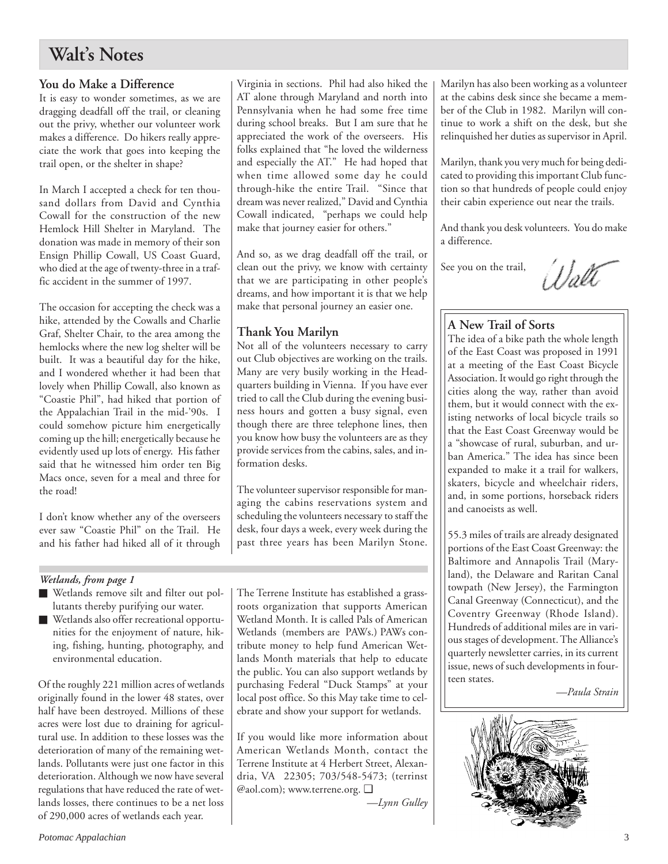# **Walt's Notes**

# **You do Make a Difference**

It is easy to wonder sometimes, as we are dragging deadfall off the trail, or cleaning out the privy, whether our volunteer work makes a difference. Do hikers really appreciate the work that goes into keeping the trail open, or the shelter in shape?

In March I accepted a check for ten thousand dollars from David and Cynthia Cowall for the construction of the new Hemlock Hill Shelter in Maryland. The donation was made in memory of their son Ensign Phillip Cowall, US Coast Guard, who died at the age of twenty-three in a traffic accident in the summer of 1997.

The occasion for accepting the check was a hike, attended by the Cowalls and Charlie Graf, Shelter Chair, to the area among the hemlocks where the new log shelter will be built. It was a beautiful day for the hike, and I wondered whether it had been that lovely when Phillip Cowall, also known as "Coastie Phil", had hiked that portion of the Appalachian Trail in the mid-'90s. I could somehow picture him energetically coming up the hill; energetically because he evidently used up lots of energy. His father said that he witnessed him order ten Big Macs once, seven for a meal and three for the road!

I don't know whether any of the overseers ever saw "Coastie Phil" on the Trail. He and his father had hiked all of it through

### *Wetlands, from page 1*

- Wetlands remove silt and filter out pollutants thereby purifying our water.
- Wetlands also offer recreational opportunities for the enjoyment of nature, hiking, fishing, hunting, photography, and environmental education.

Of the roughly 221 million acres of wetlands originally found in the lower 48 states, over half have been destroyed. Millions of these acres were lost due to draining for agricultural use. In addition to these losses was the deterioration of many of the remaining wetlands. Pollutants were just one factor in this deterioration. Although we now have several regulations that have reduced the rate of wetlands losses, there continues to be a net loss of 290,000 acres of wetlands each year.

Virginia in sections. Phil had also hiked the AT alone through Maryland and north into Pennsylvania when he had some free time during school breaks. But I am sure that he appreciated the work of the overseers. His folks explained that "he loved the wilderness and especially the AT." He had hoped that when time allowed some day he could through-hike the entire Trail. "Since that dream was never realized," David and Cynthia Cowall indicated, "perhaps we could help make that journey easier for others."

And so, as we drag deadfall off the trail, or clean out the privy, we know with certainty that we are participating in other people's dreams, and how important it is that we help make that personal journey an easier one.

# **Thank You Marilyn**

Not all of the volunteers necessary to carry out Club objectives are working on the trails. Many are very busily working in the Headquarters building in Vienna. If you have ever tried to call the Club during the evening business hours and gotten a busy signal, even though there are three telephone lines, then you know how busy the volunteers are as they provide services from the cabins, sales, and information desks.

The volunteer supervisor responsible for managing the cabins reservations system and scheduling the volunteers necessary to staff the desk, four days a week, every week during the past three years has been Marilyn Stone.

The Terrene Institute has established a grassroots organization that supports American Wetland Month. It is called Pals of American Wetlands (members are PAWs.) PAWs contribute money to help fund American Wetlands Month materials that help to educate the public. You can also support wetlands by purchasing Federal "Duck Stamps" at your local post office. So this May take time to celebrate and show your support for wetlands.

If you would like more information about American Wetlands Month, contact the Terrene Institute at 4 Herbert Street, Alexandria, VA 22305; 703/548-5473; (terrinst @aol.com); www.terrene.org. ❑

*—Lynn Gulley*

Marilyn has also been working as a volunteer at the cabins desk since she became a member of the Club in 1982. Marilyn will continue to work a shift on the desk, but she relinquished her duties as supervisor in April.

Marilyn, thank you very much for being dedicated to providing this important Club function so that hundreds of people could enjoy their cabin experience out near the trails.

And thank you desk volunteers. You do make a difference.

See you on the trail,



# **A New Trail of Sorts**

The idea of a bike path the whole length of the East Coast was proposed in 1991 at a meeting of the East Coast Bicycle Association. It would go right through the cities along the way, rather than avoid them, but it would connect with the existing networks of local bicycle trails so that the East Coast Greenway would be a "showcase of rural, suburban, and urban America." The idea has since been expanded to make it a trail for walkers, skaters, bicycle and wheelchair riders, and, in some portions, horseback riders and canoeists as well.

55.3 miles of trails are already designated portions of the East Coast Greenway: the Baltimore and Annapolis Trail (Maryland), the Delaware and Raritan Canal towpath (New Jersey), the Farmington Canal Greenway (Connecticut), and the Coventry Greenway (Rhode Island). Hundreds of additional miles are in various stages of development. The Alliance's quarterly newsletter carries, in its current issue, news of such developments in fourteen states.

*—Paula Strain*

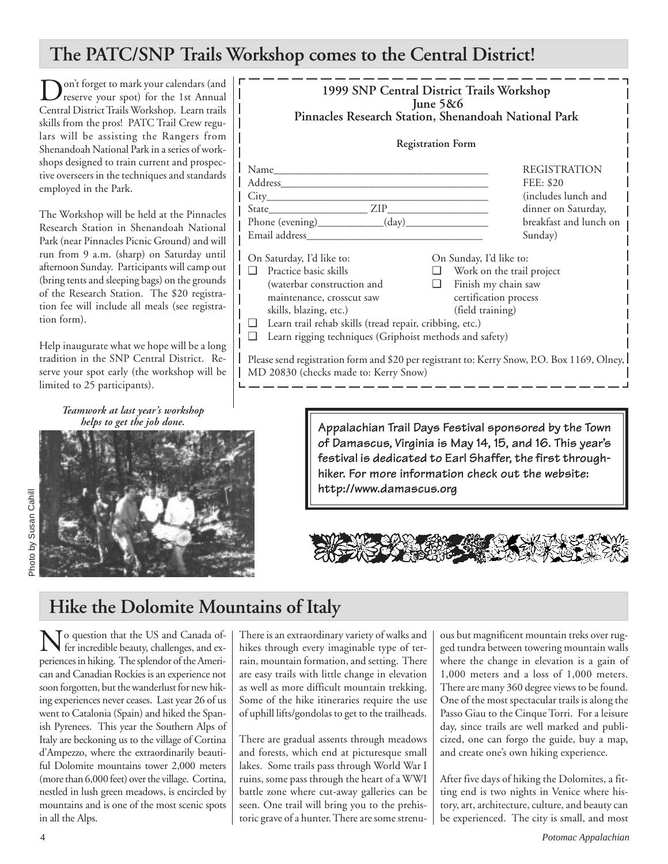# **The PATC/SNP Trails Workshop comes to the Central District!**

Don't forget to mark your calendars (and<br>Consider the 1st Annual Consideration of the 1st Annual Central District Trails Workshop. Learn trails skills from the pros! PATC Trail Crew regulars will be assisting the Rangers from Shenandoah National Park in a series of workshops designed to train current and prospective overseers in the techniques and standards employed in the Park.

The Workshop will be held at the Pinnacles Research Station in Shenandoah National Park (near Pinnacles Picnic Ground) and will run from 9 a.m. (sharp) on Saturday until afternoon Sunday. Participants will camp out (bring tents and sleeping bags) on the grounds of the Research Station. The \$20 registration fee will include all meals (see registration form).

Help inaugurate what we hope will be a long tradition in the SNP Central District. Reserve your spot early (the workshop will be limited to 25 participants).

> *Teamwork at last year's workshop helps to get the job done.*



| 1999 SNP Central District Trails Workshop<br>June $5&6$<br>Pinnacles Research Station, Shenandoah National Park                                                                                                                                                              |                                                                                                                                 |
|------------------------------------------------------------------------------------------------------------------------------------------------------------------------------------------------------------------------------------------------------------------------------|---------------------------------------------------------------------------------------------------------------------------------|
| <b>Registration Form</b>                                                                                                                                                                                                                                                     |                                                                                                                                 |
| Name<br>City the contract of the contract of the contract of the contract of the contract of the contract of the contract of the contract of the contract of the contract of the contract of the contract of the contract of the contr<br>Email address                      | <b>REGISTRATION</b><br>FEE: \$20<br>(includes lunch and<br>dinner on Saturday,<br>breakfast and lunch on<br>Sunday)             |
| On Saturday, I'd like to:<br>Practice basic skills<br>n<br>(waterbar construction and<br>$\Box$<br>maintenance, crosscut saw<br>skills, blazing, etc.)<br>Learn trail rehab skills (tread repair, cribbing, etc.)<br>Learn rigging techniques (Griphoist methods and safety) | On Sunday, I'd like to:<br>$\Box$ Work on the trail project<br>Finish my chain saw<br>certification process<br>(field training) |
| Please send registration form and \$20 per registrant to: Kerry Snow, P.O. Box 1169, Olney,<br>MD 20830 (checks made to: Kerry Snow)                                                                                                                                         |                                                                                                                                 |

**Appalachian Trail Days Festival sponsored by the Town of Damascus, Virginia is May 14, 15, and 16. This year's festival is dedicated to Earl Shaffer, the first throughhiker. For more information check out the website: http://www.damascus.org**



# **Hike the Dolomite Mountains of Italy**

No question that the US and Canada of-fer incredible beauty, challenges, and experiences in hiking. The splendor of the American and Canadian Rockies is an experience not soon forgotten, but the wanderlust for new hiking experiences never ceases. Last year 26 of us went to Catalonia (Spain) and hiked the Spanish Pyrenees. This year the Southern Alps of Italy are beckoning us to the village of Cortina d'Ampezzo, where the extraordinarily beautiful Dolomite mountains tower 2,000 meters (more than 6,000 feet) over the village. Cortina, nestled in lush green meadows, is encircled by mountains and is one of the most scenic spots in all the Alps.

There is an extraordinary variety of walks and hikes through every imaginable type of terrain, mountain formation, and setting. There are easy trails with little change in elevation as well as more difficult mountain trekking. Some of the hike itineraries require the use of uphill lifts/gondolas to get to the trailheads.

There are gradual assents through meadows and forests, which end at picturesque small lakes. Some trails pass through World War I ruins, some pass through the heart of a WWI battle zone where cut-away galleries can be seen. One trail will bring you to the prehistoric grave of a hunter. There are some strenuous but magnificent mountain treks over rugged tundra between towering mountain walls where the change in elevation is a gain of 1,000 meters and a loss of 1,000 meters. There are many 360 degree views to be found. One of the most spectacular trails is along the Passo Giau to the Cinque Torri. For a leisure day, since trails are well marked and publicized, one can forgo the guide, buy a map, and create one's own hiking experience.

After five days of hiking the Dolomites, a fitting end is two nights in Venice where history, art, architecture, culture, and beauty can be experienced. The city is small, and most

Photo by Susan Cahill

Photo by Susan Cahill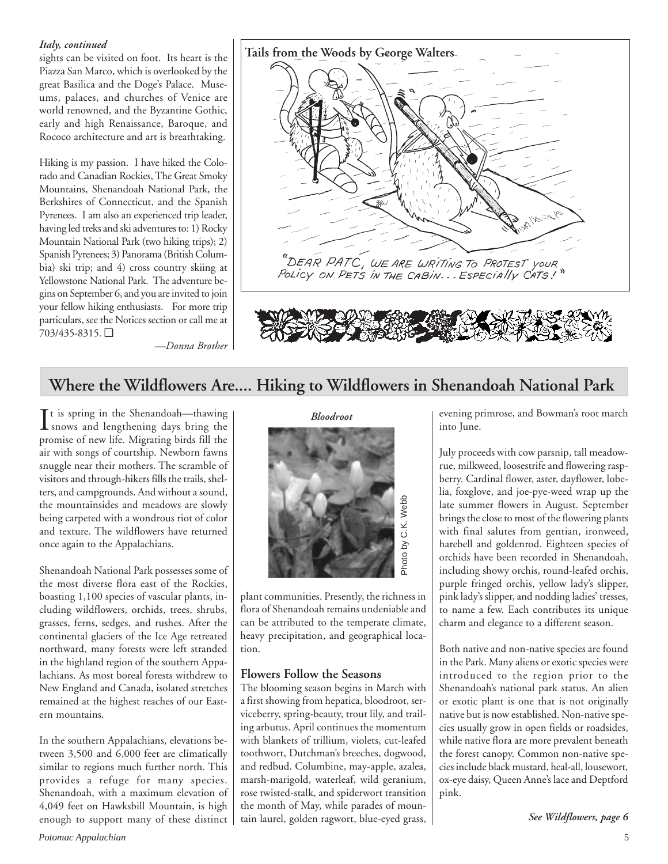### *Italy, continued*

sights can be visited on foot. Its heart is the Piazza San Marco, which is overlooked by the great Basilica and the Doge's Palace. Museums, palaces, and churches of Venice are world renowned, and the Byzantine Gothic, early and high Renaissance, Baroque, and Rococo architecture and art is breathtaking.

Hiking is my passion. I have hiked the Colorado and Canadian Rockies, The Great Smoky Mountains, Shenandoah National Park, the Berkshires of Connecticut, and the Spanish Pyrenees. I am also an experienced trip leader, having led treks and ski adventures to: 1) Rocky Mountain National Park (two hiking trips); 2) Spanish Pyrenees; 3) Panorama (British Columbia) ski trip; and 4) cross country skiing at Yellowstone National Park. The adventure begins on September 6, and you are invited to join your fellow hiking enthusiasts. For more trip particulars, see the Notices section or call me at 703/435-8315. ❑



*—Donna Brother*

# **Where the Wildflowers Are.... Hiking to Wildflowers in Shenandoah National Park**

 $\prod$ t is spring in the Shenandoah—thawing<br>snows and lengthening days bring the It is spring in the Shenandoah—thawing promise of new life. Migrating birds fill the air with songs of courtship. Newborn fawns snuggle near their mothers. The scramble of visitors and through-hikers fills the trails, shelters, and campgrounds. And without a sound, the mountainsides and meadows are slowly being carpeted with a wondrous riot of color and texture. The wildflowers have returned once again to the Appalachians.

Shenandoah National Park possesses some of the most diverse flora east of the Rockies, boasting 1,100 species of vascular plants, including wildflowers, orchids, trees, shrubs, grasses, ferns, sedges, and rushes. After the continental glaciers of the Ice Age retreated northward, many forests were left stranded in the highland region of the southern Appalachians. As most boreal forests withdrew to New England and Canada, isolated stretches remained at the highest reaches of our Eastern mountains.

In the southern Appalachians, elevations between 3,500 and 6,000 feet are climatically similar to regions much further north. This provides a refuge for many species. Shenandoah, with a maximum elevation of 4,049 feet on Hawksbill Mountain, is high enough to support many of these distinct



plant communities. Presently, the richness in flora of Shenandoah remains undeniable and can be attributed to the temperate climate, heavy precipitation, and geographical location.

# **Flowers Follow the Seasons**

The blooming season begins in March with a first showing from hepatica, bloodroot, serviceberry, spring-beauty, trout lily, and trailing arbutus. April continues the momentum with blankets of trillium, violets, cut-leafed toothwort, Dutchman's breeches, dogwood, and redbud. Columbine, may-apple, azalea, marsh-marigold, waterleaf, wild geranium, rose twisted-stalk, and spiderwort transition the month of May, while parades of mountain laurel, golden ragwort, blue-eyed grass, evening primrose, and Bowman's root march into June.

July proceeds with cow parsnip, tall meadowrue, milkweed, loosestrife and flowering raspberry. Cardinal flower, aster, dayflower, lobelia, foxglove, and joe-pye-weed wrap up the late summer flowers in August. September brings the close to most of the flowering plants with final salutes from gentian, ironweed, harebell and goldenrod. Eighteen species of orchids have been recorded in Shenandoah, including showy orchis, round-leafed orchis, purple fringed orchis, yellow lady's slipper, pink lady's slipper, and nodding ladies' tresses, to name a few. Each contributes its unique charm and elegance to a different season.

Both native and non-native species are found in the Park. Many aliens or exotic species were introduced to the region prior to the Shenandoah's national park status. An alien or exotic plant is one that is not originally native but is now established. Non-native species usually grow in open fields or roadsides, while native flora are more prevalent beneath the forest canopy. Common non-native species include black mustard, heal-all, lousewort, ox-eye daisy, Queen Anne's lace and Deptford pink.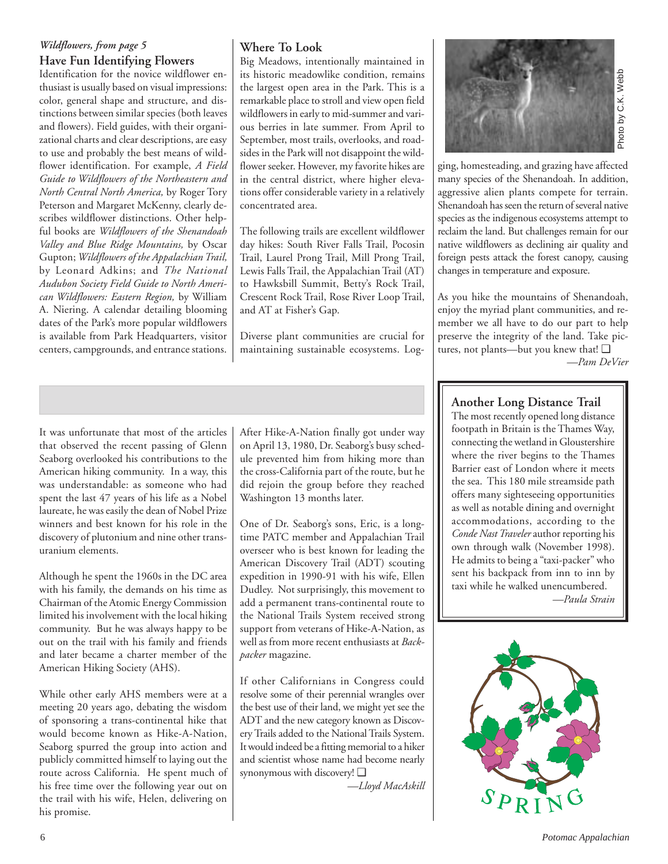# *Wildflowers, from page 5* **Have Fun Identifying Flowers**

Identification for the novice wildflower enthusiast is usually based on visual impressions: color, general shape and structure, and distinctions between similar species (both leaves and flowers). Field guides, with their organizational charts and clear descriptions, are easy to use and probably the best means of wildflower identification. For example, *A Field Guide to Wildflowers of the Northeastern and North Central North America,* by Roger Tory Peterson and Margaret McKenny, clearly describes wildflower distinctions. Other helpful books are *Wildflowers of the Shenandoah Valley and Blue Ridge Mountains,* by Oscar Gupton; *Wildflowers of the Appalachian Trail,* by Leonard Adkins; and *The National Audubon Society Field Guide to North American Wildflowers: Eastern Region,* by William A. Niering. A calendar detailing blooming dates of the Park's more popular wildflowers is available from Park Headquarters, visitor centers, campgrounds, and entrance stations.

# **Where To Look**

Big Meadows, intentionally maintained in its historic meadowlike condition, remains the largest open area in the Park. This is a remarkable place to stroll and view open field wildflowers in early to mid-summer and various berries in late summer. From April to September, most trails, overlooks, and roadsides in the Park will not disappoint the wildflower seeker. However, my favorite hikes are in the central district, where higher elevations offer considerable variety in a relatively concentrated area.

The following trails are excellent wildflower day hikes: South River Falls Trail, Pocosin Trail, Laurel Prong Trail, Mill Prong Trail, Lewis Falls Trail, the Appalachian Trail (AT) to Hawksbill Summit, Betty's Rock Trail, Crescent Rock Trail, Rose River Loop Trail, and AT at Fisher's Gap.

Diverse plant communities are crucial for maintaining sustainable ecosystems. Log-



ging, homesteading, and grazing have affected many species of the Shenandoah. In addition, aggressive alien plants compete for terrain. Shenandoah has seen the return of several native species as the indigenous ecosystems attempt to reclaim the land. But challenges remain for our native wildflowers as declining air quality and foreign pests attack the forest canopy, causing changes in temperature and exposure. **Example 18**<br> **Example 18**<br> **Example 18**<br> **Example 18**<br> **Example 18**<br> **Example 18**<br> **Example 18**<br> **Example 18**<br> **Example 18**<br> **Example 18**<br> **Example 18**<br> **Example 18**<br> **Example 18**<br> **Example 18**<br> **Example 18**<br> **Example 18** 

As you hike the mountains of Shenandoah, enjoy the myriad plant communities, and remember we all have to do our part to help preserve the integrity of the land. Take pictures, not plants—but you knew that! ❑

It was unfortunate that most of the articles that observed the recent passing of Glenn Seaborg overlooked his contributions to the American hiking community. In a way, this was understandable: as someone who had spent the last 47 years of his life as a Nobel laureate, he was easily the dean of Nobel Prize winners and best known for his role in the discovery of plutonium and nine other transuranium elements.

Although he spent the 1960s in the DC area with his family, the demands on his time as Chairman of the Atomic Energy Commission limited his involvement with the local hiking community. But he was always happy to be out on the trail with his family and friends and later became a charter member of the American Hiking Society (AHS).

While other early AHS members were at a meeting 20 years ago, debating the wisdom of sponsoring a trans-continental hike that would become known as Hike-A-Nation, Seaborg spurred the group into action and publicly committed himself to laying out the route across California. He spent much of his free time over the following year out on the trail with his wife, Helen, delivering on his promise.

After Hike-A-Nation finally got under way on April 13, 1980, Dr. Seaborg's busy schedule prevented him from hiking more than the cross-California part of the route, but he did rejoin the group before they reached Washington 13 months later.

One of Dr. Seaborg's sons, Eric, is a longtime PATC member and Appalachian Trail overseer who is best known for leading the American Discovery Trail (ADT) scouting expedition in 1990-91 with his wife, Ellen Dudley. Not surprisingly, this movement to add a permanent trans-continental route to the National Trails System received strong support from veterans of Hike-A-Nation, as well as from more recent enthusiasts at *Backpacker* magazine.

If other Californians in Congress could resolve some of their perennial wrangles over the best use of their land, we might yet see the ADT and the new category known as Discovery Trails added to the National Trails System. It would indeed be a fitting memorial to a hiker and scientist whose name had become nearly synonymous with discovery! ❑

*—Lloyd MacAskill*

# **Another Long Distance Trail**

The most recently opened long distance footpath in Britain is the Thames Way, connecting the wetland in Gloustershire where the river begins to the Thames Barrier east of London where it meets the sea. This 180 mile streamside path offers many sighteseeing opportunities as well as notable dining and overnight accommodations, according to the *Conde Nast Traveler* author reporting his own through walk (November 1998). He admits to being a "taxi-packer" who sent his backpack from inn to inn by taxi while he walked unencumbered.

*—Paula Strain*

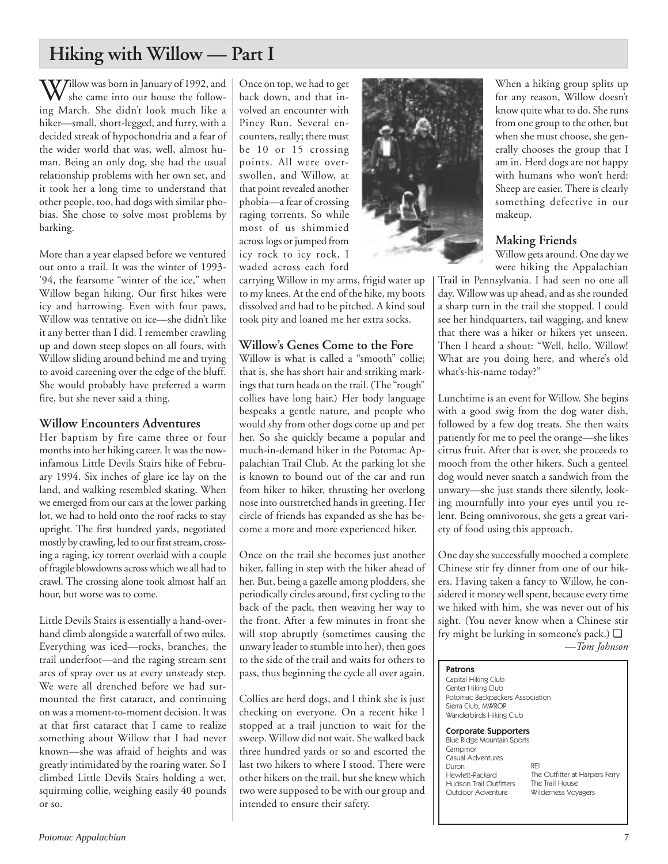# **Hiking with Willow — Part I**

Willow was born in January of 1992, and she came into our house the following March. She didn't look much like a hiker—small, short-legged, and furry, with a decided streak of hypochondria and a fear of the wider world that was, well, almost human. Being an only dog, she had the usual relationship problems with her own set, and it took her a long time to understand that other people, too, had dogs with similar phobias. She chose to solve most problems by barking.

More than a year elapsed before we ventured out onto a trail. It was the winter of 1993- '94, the fearsome "winter of the ice," when Willow began hiking. Our first hikes were icy and harrowing. Even with four paws, Willow was tentative on ice—she didn't like it any better than I did. I remember crawling up and down steep slopes on all fours, with Willow sliding around behind me and trying to avoid careening over the edge of the bluff. She would probably have preferred a warm fire, but she never said a thing.

### **Willow Encounters Adventures**

Her baptism by fire came three or four months into her hiking career. It was the nowinfamous Little Devils Stairs hike of February 1994. Six inches of glare ice lay on the land, and walking resembled skating. When we emerged from our cars at the lower parking lot, we had to hold onto the roof racks to stay upright. The first hundred yards, negotiated mostly by crawling, led to our first stream, crossing a raging, icy torrent overlaid with a couple of fragile blowdowns across which we all had to crawl. The crossing alone took almost half an hour, but worse was to come.

Little Devils Stairs is essentially a hand-overhand climb alongside a waterfall of two miles. Everything was iced—rocks, branches, the trail underfoot—and the raging stream sent arcs of spray over us at every unsteady step. We were all drenched before we had surmounted the first cataract, and continuing on was a moment-to-moment decision. It was at that first cataract that I came to realize something about Willow that I had never known—she was afraid of heights and was greatly intimidated by the roaring water. So I climbed Little Devils Stairs holding a wet, squirming collie, weighing easily 40 pounds or so.

Once on top, we had to get back down, and that involved an encounter with Piney Run. Several encounters, really; there must be 10 or 15 crossing points. All were overswollen, and Willow, at that point revealed another phobia—a fear of crossing raging torrents. So while most of us shimmied across logs or jumped from icy rock to icy rock, I waded across each ford

carrying Willow in my arms, frigid water up to my knees. At the end of the hike, my boots dissolved and had to be pitched. A kind soul took pity and loaned me her extra socks.

# **Willow's Genes Come to the Fore**

Willow is what is called a "smooth" collie; that is, she has short hair and striking markings that turn heads on the trail. (The "rough" collies have long hair.) Her body language bespeaks a gentle nature, and people who would shy from other dogs come up and pet her. So she quickly became a popular and much-in-demand hiker in the Potomac Appalachian Trail Club. At the parking lot she is known to bound out of the car and run from hiker to hiker, thrusting her overlong nose into outstretched hands in greeting. Her circle of friends has expanded as she has become a more and more experienced hiker.

Once on the trail she becomes just another hiker, falling in step with the hiker ahead of her. But, being a gazelle among plodders, she periodically circles around, first cycling to the back of the pack, then weaving her way to the front. After a few minutes in front she will stop abruptly (sometimes causing the unwary leader to stumble into her), then goes to the side of the trail and waits for others to pass, thus beginning the cycle all over again.

Collies are herd dogs, and I think she is just checking on everyone. On a recent hike I stopped at a trail junction to wait for the sweep. Willow did not wait. She walked back three hundred yards or so and escorted the last two hikers to where I stood. There were other hikers on the trail, but she knew which two were supposed to be with our group and intended to ensure their safety.



When a hiking group splits up for any reason, Willow doesn't know quite what to do. She runs from one group to the other, but when she must choose, she generally chooses the group that I am in. Herd dogs are not happy with humans who won't herd: Sheep are easier. There is clearly something defective in our makeup.

# **Making Friends**

Willow gets around. One day we were hiking the Appalachian

Trail in Pennsylvania. I had seen no one all day. Willow was up ahead, and as she rounded a sharp turn in the trail she stopped. I could see her hindquarters, tail wagging, and knew that there was a hiker or hikers yet unseen. Then I heard a shout: "Well, hello, Willow! What are you doing here, and where's old what's-his-name today?"

Lunchtime is an event for Willow. She begins with a good swig from the dog water dish, followed by a few dog treats. She then waits patiently for me to peel the orange—she likes citrus fruit. After that is over, she proceeds to mooch from the other hikers. Such a genteel dog would never snatch a sandwich from the unwary—she just stands there silently, looking mournfully into your eyes until you relent. Being omnivorous, she gets a great variety of food using this approach.

One day she successfully mooched a complete Chinese stir fry dinner from one of our hikers. Having taken a fancy to Willow, he considered it money well spent, because every time we hiked with him, she was never out of his sight. (You never know when a Chinese stir fry might be lurking in someone's pack.) ❑

*—Tom Johnson*

### Patrons

Capital Hiking Club Center Hiking Club Potomac Backpackers Association Sierra Club, MWROP Wanderbirds Hiking Club

#### Corporate Supporters

Blue Ridge Mountain Sports Campmor Casual Adventures Duron Hewlett-Packard Hudson Trail Outfitters Outdoor Adventure

REI The Outfitter at Harpers Ferry The Trail House Wilderness Voyagers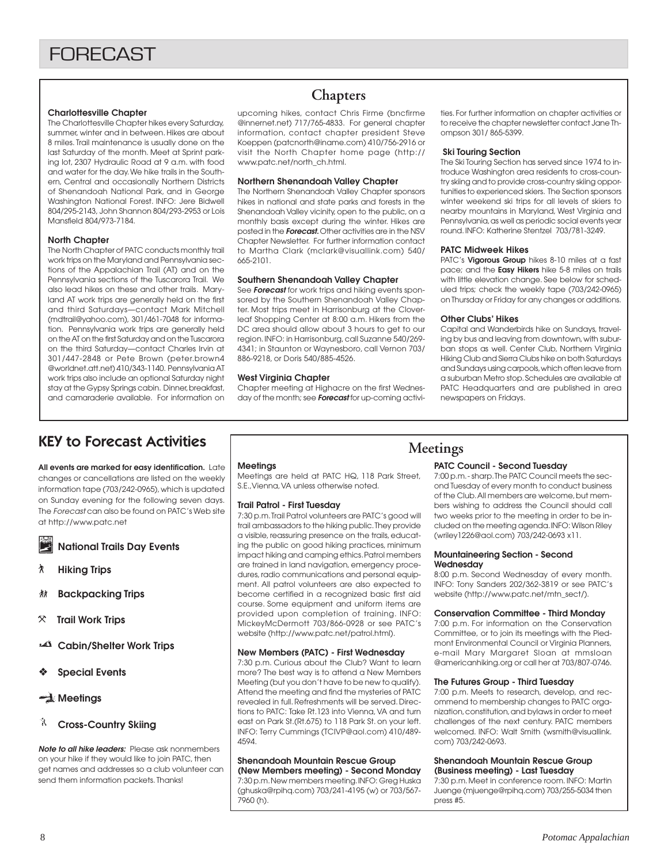#### **Charlottesville Chapter**

The Charlottesville Chapter hikes every Saturday, summer, winter and in between. Hikes are about 8 miles. Trail maintenance is usually done on the last Saturday of the month. Meet at Sprint parking lot, 2307 Hydraulic Road at 9 a.m. with food and water for the day. We hike trails in the Southern, Central and occasionally Northern Districts of Shenandoah National Park, and in George Washington National Forest. INFO: Jere Bidwell 804/295-2143, John Shannon 804/293-2953 or Lois Mansfield 804/973-7184.

#### **North Chapter**

The North Chapter of PATC conducts monthly trail work trips on the Maryland and Pennsylvania sections of the Appalachian Trail (AT) and on the Pennsylvania sections of the Tuscarora Trail. We also lead hikes on these and other trails. Maryland AT work trips are generally held on the first and third Saturdays—contact Mark Mitchell (mdtrail@yahoo.com), 301/461-7048 for information. Pennsylvania work trips are generally held on the AT on the first Saturday and on the Tuscarora on the third Saturday—contact Charles Irvin at 301/447-2848 or Pete Brown (peter.brown4 @worldnet.att.net) 410/343-1140. Pennsylvania AT work trips also include an optional Saturday night stay at the Gypsy Springs cabin. Dinner, breakfast, and camaraderie available. For information on

# **Chapters**

upcoming hikes, contact Chris Firme (bncfirme @innernet.net) 717/765-4833. For general chapter information, contact chapter president Steve Koeppen (patcnorth@iname.com) 410/756-2916 or visit the North Chapter home page (http:// www.patc.net/north\_ch.html.

#### **Northern Shenandoah Valley Chapter**

The Northern Shenandoah Valley Chapter sponsors hikes in national and state parks and forests in the Shenandoah Valley vicinity, open to the public, on a monthly basis except during the winter. Hikes are posted in the **Forecast.** Other activities are in the NSV Chapter Newsletter. For further information contact to Martha Clark (mclark@visuallink.com) 540/ 665-2101.

#### **Southern Shenandoah Valley Chapter**

See **Forecast** for work trips and hiking events sponsored by the Southern Shenandoah Valley Chapter. Most trips meet in Harrisonburg at the Cloverleaf Shopping Center at 8:00 a.m. Hikers from the DC area should allow about 3 hours to get to our region. INFO: in Harrisonburg, call Suzanne 540/269- 4341; in Staunton or Waynesboro, call Vernon 703/ 886-9218, or Doris 540/885-4526.

#### **West Virginia Chapter**

Chapter meeting at Highacre on the first Wednesday of the month; see **Forecast** for up-coming activities. For further information on chapter activities or to receive the chapter newsletter contact Jane Thompson 301/ 865-5399.

#### **Ski Touring Section**

The Ski Touring Section has served since 1974 to introduce Washington area residents to cross-country skiing and to provide cross-country skiing opportunities to experienced skiers. The Section sponsors winter weekend ski trips for all levels of skiers to nearby mountains in Maryland, West Virginia and Pennsylvania, as well as periodic social events year round. INFO: Katherine Stentzel 703/781-3249.

#### **PATC Midweek Hikes**

PATC's **Vigorous Group** hikes 8-10 miles at a fast pace; and the **Easy Hikers** hike 5-8 miles on trails with little elevation change. See below for scheduled trips; check the weekly tape (703/242-0965) on Thursday or Friday for any changes or additions.

#### **Other Clubs' Hikes**

Capital and Wanderbirds hike on Sundays, traveling by bus and leaving from downtown, with suburban stops as well. Center Club, Northern Virginia Hiking Club and Sierra Clubs hike on both Saturdays and Sundays using carpools, which often leave from a suburban Metro stop. Schedules are available at PATC Headquarters and are published in area newspapers on Fridays.

# KEY to Forecast Activities

**All events are marked for easy identification.** Late changes or cancellations are listed on the weekly information tape (703/242-0965), which is updated on Sunday evening for the following seven days. The Forecast can also be found on PATC's Web site at http://www.patc.net

**National Trails Day Events**

- ` **Hiking Trips**
- **然 Backpacking Trips**
- } **Trail Work Trips**
- **Cabin/Shelter Work Trips**
- ❖ **Special Events**

# **Meetings**

### **Cross-Country Skiing**

**Note to all hike leaders:** Please ask nonmembers on your hike if they would like to join PATC, then get names and addresses so a club volunteer can send them information packets. Thanks!

#### **Meetings**

Meetings are held at PATC HQ, 118 Park Street, S.E.,Vienna, VA unless otherwise noted.

#### **Trail Patrol - First Tuesday**

7:30 p.m. Trail Patrol volunteers are PATC's good will trail ambassadors to the hiking public. They provide a visible, reassuring presence on the trails, educating the public on good hiking practices, minimum impact hiking and camping ethics. Patrol members are trained in land navigation, emergency procedures, radio communications and personal equipment. All patrol volunteers are also expected to become certified in a recognized basic first aid course. Some equipment and uniform items are provided upon completion of training. INFO: MickeyMcDermott 703/866-0928 or see PATC's website (http://www.patc.net/patrol.html).

#### **New Members (PATC) - First Wednesday**

7:30 p.m. Curious about the Club? Want to learn more? The best way is to attend a New Members Meeting (but you don't have to be new to qualify). Attend the meeting and find the mysteries of PATC revealed in full. Refreshments will be served. Directions to PATC: Take Rt.123 into Vienna, VA and turn east on Park St.(Rt.675) to 118 Park St. on your left. INFO: Terry Cummings (TCIVP@aol.com) 410/489- 4594.

#### **Shenandoah Mountain Rescue Group (New Members meeting) - Second Monday**

7:30 p.m. New members meeting. INFO: Greg Huska (ghuska@rpihq.com) 703/241-4195 (w) or 703/567- 7960 (h).

# **Meetings**

#### **PATC Council - Second Tuesday**

7:00 p.m. - sharp. The PATC Council meets the second Tuesday of every month to conduct business of the Club. All members are welcome, but members wishing to address the Council should call two weeks prior to the meeting in order to be included on the meeting agenda. INFO: Wilson Riley (wriley1226@aol.com) 703/242-0693 x11.

#### **Mountaineering Section - Second Wednesday**

8:00 p.m. Second Wednesday of every month. INFO: Tony Sanders 202/362-3819 or see PATC's website (http://www.patc.net/mtn\_sect/).

#### **Conservation Committee - Third Monday**

7:00 p.m. For information on the Conservation Committee, or to join its meetings with the Piedmont Environmental Council or Virginia Planners, e-mail Mary Margaret Sloan at mmsloan @americanhiking.org or call her at 703/807-0746.

#### **The Futures Group - Third Tuesday**

7:00 p.m. Meets to research, develop, and recommend to membership changes to PATC organization, constitution, and bylaws in order to meet challenges of the next century. PATC members welcomed. INFO: Walt Smith (wsmith@visuallink. com) 703/242-0693.

#### **Shenandoah Mountain Rescue Group (Business meeting) - Last Tuesday**

7:30 p.m. Meet in conference room. INFO: Martin Juenge (mjuenge@rpihq.com) 703/255-5034 then press #5.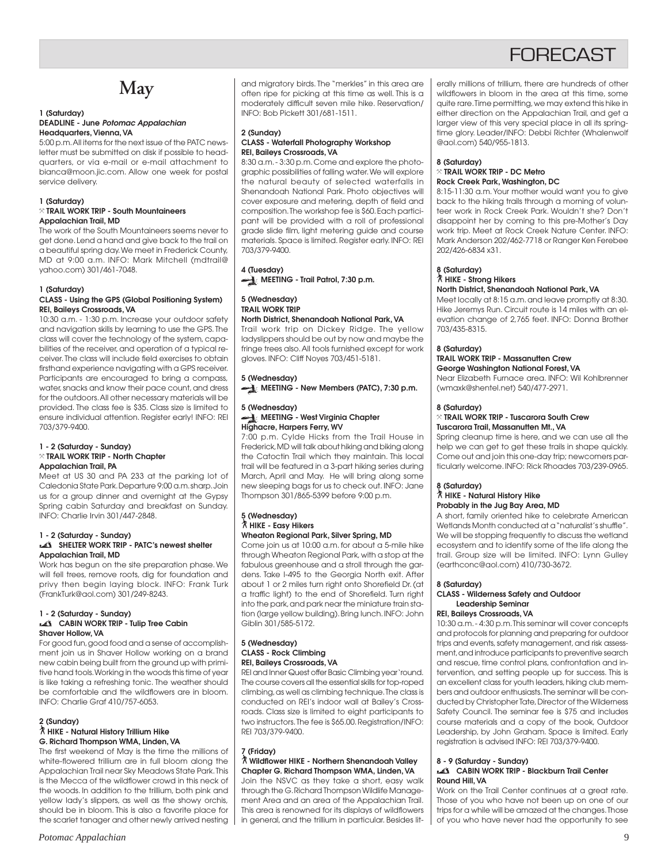# **FORFCAST**

# **May**

#### **1 (Saturday) DEADLINE - June Potomac Appalachian Headquarters, Vienna, VA**

5:00 p.m. All items for the next issue of the PATC newsletter must be submitted on disk if possible to headquarters, or via e-mail or e-mail attachment to bianca@moon.jic.com. Allow one week for postal service delivery.

#### **1 (Saturday)**

#### } **TRAIL WORK TRIP - South Mountaineers Appalachian Trail, MD**

The work of the South Mountaineers seems never to get done. Lend a hand and give back to the trail on a beautiful spring day. We meet in Frederick County, MD at 9:00 a.m. INFO: Mark Mitchell (mdtrail@ yahoo.com) 301/461-7048.

#### **1 (Saturday)**

#### **CLASS - Using the GPS (Global Positioning System) REI, Baileys Crossroads, VA**

10:30 a.m. - 1:30 p.m. Increase your outdoor safety and navigation skills by learning to use the GPS. The class will cover the technology of the system, capabilities of the receiver, and operation of a typical receiver. The class will include field exercises to obtain firsthand experience navigating with a GPS receiver. Participants are encouraged to bring a compass, water, snacks and know their pace count, and dress for the outdoors. All other necessary materials will be provided. The class fee is \$35. Class size is limited to ensure individual attention. Register early! INFO: REI 703/379-9400.

#### **1 - 2 (Saturday - Sunday)** } **TRAIL WORK TRIP - North Chapter Appalachian Trail, PA**

Meet at US 30 and PA 233 at the parking lot of Caledonia State Park. Departure 9:00 a.m. sharp. Join us for a group dinner and overnight at the Gypsy Spring cabin Saturday and breakfast on Sunday. INFO: Charlie Irvin 301/447-2848.

#### **1 - 2 (Saturday - Sunday) SHELTER WORK TRIP - PATC's newest shelter Appalachian Trail, MD**

Work has begun on the site preparation phase. We will fell trees, remove roots, dig for foundation and privy then begin laying block. INFO: Frank Turk (FrankTurk@aol.com) 301/249-8243.

#### **1 - 2 (Saturday - Sunday) CABIN WORK TRIP - Tulip Tree Cabin Shaver Hollow, VA**

For good fun, good food and a sense of accomplishment join us in Shaver Hollow working on a brand new cabin being built from the ground up with primitive hand tools. Working in the woods this time of year is like taking a refreshing tonic. The weather should be comfortable and the wildflowers are in bloom. INFO: Charlie Graf 410/757-6053.

### **2 (Sunday)**

#### ` **HIKE - Natural History Trillium Hike G. Richard Thompson WMA, Linden, VA**

The first weekend of May is the time the millions of white-flowered trillium are in full bloom along the Appalachian Trail near Sky Meadows State Park. This is the Mecca of the wildflower crowd in this neck of the woods. In addition to the trillium, both pink and yellow lady's slippers, as well as the showy orchis, should be in bloom. This is also a favorite place for the scarlet tanager and other newly arrived nesting and migratory birds. The "merkles" in this area are often ripe for picking at this time as well. This is a moderately difficult seven mile hike. Reservation/ INFO: Bob Pickett 301/681-1511.

#### **2 (Sunday) CLASS - Waterfall Photography Workshop REI, Baileys Crossroads, VA**

8:30 a.m. - 3:30 p.m. Come and explore the photographic possibilities of falling water. We will explore the natural beauty of selected waterfalls in Shenandoah National Park. Photo objectives will cover exposure and metering, depth of field and composition. The workshop fee is \$60. Each participant will be provided with a roll of professional grade slide film, light metering guide and course materials. Space is limited. Register early. INFO: REI 703/379-9400.

# **4 (Tuesday)**

**MEETING - Trail Patrol, 7:30 p.m.** 

#### **5 (Wednesday) TRAIL WORK TRIP North District, Shenandoah National Park, VA**

Trail work trip on Dickey Ridge. The yellow ladyslippers should be out by now and maybe the fringe trees also. All tools furnished except for work gloves. INFO: Cliff Noyes 703/451-5181.

# **5 (Wednesday)**

**MEETING - New Members (PATC), 7:30 p.m.**

#### **5 (Wednesday) MEETING - West Virginia Chapter Highacre, Harpers Ferry, WV**

7:00 p.m. Cylde Hicks from the Trail House in Frederick, MD will talk about hiking and biking along the Catoctin Trail which they maintain. This local trail will be featured in a 3-part hiking series during March, April and May. He will bring along some new sleeping bags for us to check out. INFO: Jane Thompson 301/865-5399 before 9:00 p.m.

#### **5 (Wednesday)** ` **HIKE - Easy Hikers Wheaton Regional Park, Silver Spring, MD**

Come join us at 10:00 a.m. for about a 5-mile hike through Wheaton Regional Park, with a stop at the fabulous greenhouse and a stroll through the gardens. Take I-495 to the Georgia North exit. After about 1 or 2 miles turn right onto Shorefield Dr. (at a traffic light) to the end of Shorefield. Turn right into the park, and park near the miniature train station (large yellow building). Bring lunch. INFO: John Giblin 301/585-5172.

#### **5 (Wednesday) CLASS - Rock Climbing REI, Baileys Crossroads, VA**

REI and Inner Quest offer Basic Climbing year 'round. The course covers all the essential skills for top-roped climbing, as well as climbing technique. The class is conducted on REI's indoor wall at Bailey's Crossroads. Class size is limited to eight participants to two instructors. The fee is \$65.00. Registration/INFO: REI 703/379-9400.

#### **7 (Friday)** ` **Wildflower HIKE - Northern Shenandoah Valley Chapter G. Richard Thompson WMA, Linden, VA**

Join the NSVC as they take a short, easy walk through the G. Richard Thompson Wildlife Management Area and an area of the Appalachian Trail. This area is renowned for its displays of wildflowers in general, and the trillium in particular. Besides literally millions of trillium, there are hundreds of other wildflowers in bloom in the area at this time, some quite rare. Time permitting, we may extend this hike in either direction on the Appalachian Trail, and get a larger view of this very special place in all its springtime glory. Leader/INFO: Debbi Richter (Whalenwolf @aol.com) 540/955-1813.

#### **8 (Saturday)**

#### } **TRAIL WORK TRIP - DC Metro Rock Creek Park, Washington, DC**

8:15-11:30 a.m. Your mother would want you to give back to the hiking trails through a morning of volunteer work in Rock Creek Park. Wouldn't she? Don't disappoint her by coming to this pre-Mother's Day work trip. Meet at Rock Creek Nature Center. INFO: Mark Anderson 202/462-7718 or Ranger Ken Ferebee 202/426-6834 x31.

# **8 (Saturday)** ` **HIKE - Strong Hikers**

**North District, Shenandoah National Park, VA** Meet locally at 8:15 a.m. and leave promptly at 8:30. Hike Jeremys Run. Circuit route is 14 miles with an elevation change of 2,765 feet. INFO: Donna Brother 703/435-8315.

### **8 (Saturday)**

### **TRAIL WORK TRIP - Massanutten Crew George Washington National Forest, VA**

Near Elizabeth Furnace area. INFO: Wil Kohlbrenner (wmaxk@shentel.net) 540/477-2971.

#### **8 (Saturday)**

#### } **TRAIL WORK TRIP - Tuscarora South Crew Tuscarora Trail, Massanutten Mt., VA**

Spring cleanup time is here, and we can use all the help we can get to get these trails in shape quickly. Come out and join this one-day trip; newcomers particularly welcome. INFO: Rick Rhoades 703/239-0965.

# **8 (Saturday)** ` **HIKE - Natural History Hike Probably in the Jug Bay Area, MD**

A short, family oriented hike to celebrate American Wetlands Month conducted at a "naturalist's shuffle". We will be stopping frequently to discuss the wetland ecosystem and to identify some of the life along the trail. Group size will be limited. INFO: Lynn Gulley (earthconc@aol.com) 410/730-3672.

#### **8 (Saturday)**

### **CLASS - Wilderness Safety and Outdoor Leadership Seminar**

#### **REI, Baileys Crossroads, VA**

10:30 a.m. - 4:30 p.m. This seminar will cover concepts and protocols for planning and preparing for outdoor trips and events, safety management, and risk assessment, and introduce participants to preventive search and rescue, time control plans, confrontation and intervention, and setting people up for success. This is an excellent class for youth leaders, hiking club members and outdoor enthusiasts. The seminar will be conducted by Christopher Tate, Director of the Wilderness Safety Council. The seminar fee is \$75 and includes course materials and a copy of the book, Outdoor Leadership, by John Graham. Space is limited. Early registration is advised INFO: REI 703/379-9400.

#### **8 - 9 (Saturday - Sunday)**

#### **CABIN WORK TRIP - Blackburn Trail Center Round Hill, VA**

Work on the Trail Center continues at a great rate. Those of you who have not been up on one of our trips for a while will be amazed at the changes. Those of you who have never had the opportunity to see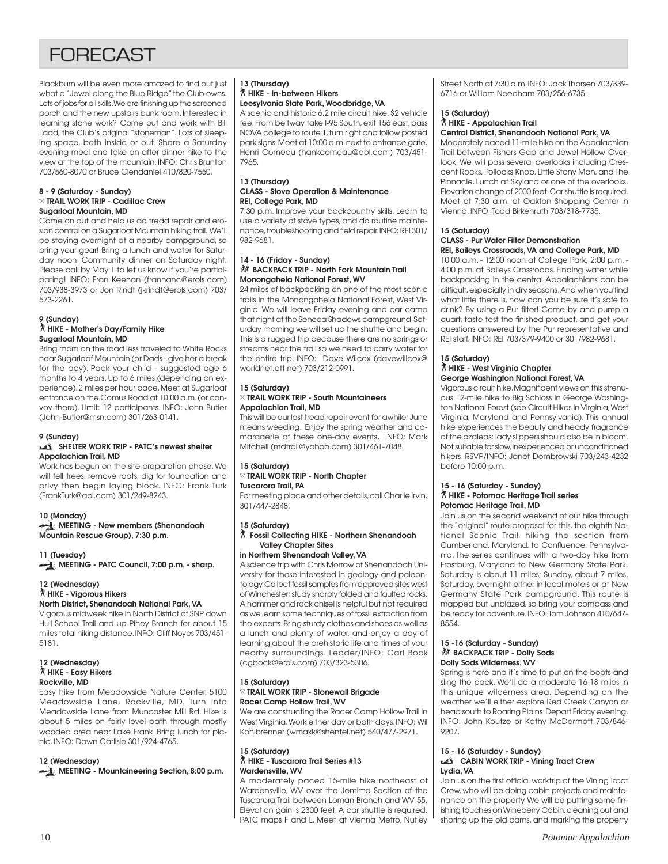# **FORFCAST**

Blackburn will be even more amazed to find out just what a "Jewel along the Blue Ridge" the Club owns. Lots of jobs for all skills. We are finishing up the screened porch and the new upstairs bunk room. Interested in learning stone work? Come out and work with Bill Ladd, the Club's original "stoneman". Lots of sleeping space, both inside or out. Share a Saturday evening meal and take an after dinner hike to the view at the top of the mountain. INFO: Chris Brunton 703/560-8070 or Bruce Clendaniel 410/820-7550.

#### **8 - 9 (Saturday - Sunday)** } **TRAIL WORK TRIP - Cadillac Crew Sugarloaf Mountain, MD**

Come on out and help us do tread repair and erosion control on a Sugarloaf Mountain hiking trail. We'll be staying overnight at a nearby campground, so bring your gear! Bring a lunch and water for Saturday noon. Community dinner on Saturday night. Please call by May 1 to let us know if you're participating! INFO: Fran Keenan (frannanc@erols.com) 703/938-3973 or Jon Rindt (jkrindt@erols.com) 703/ 573-2261.

#### **9 (Sunday)** ` **HIKE - Mother's Day/Family Hike Sugarloaf Mountain, MD**

Bring mom on the road less traveled to White Rocks near Sugarloaf Mountain (or Dads - give her a break for the day). Pack your child - suggested age 6 months to 4 years. Up to 6 miles (depending on experience). 2 miles per hour pace. Meet at Sugarloaf entrance on the Comus Road at 10:00 a.m. (or convoy there). Limit: 12 participants. INFO: John Butler (John-Butler@msn.com) 301/263-0141.

#### **9 (Sunday)**

#### **SHELTER WORK TRIP - PATC's newest shelter Appalachian Trail, MD**

Work has begun on the site preparation phase. We will fell trees, remove roots, dig for foundation and privy then begin laying block. INFO: Frank Turk (FrankTurk@aol.com) 301/249-8243.

#### **10 (Monday)**

**MEETING - New members (Shenandoah Mountain Rescue Group), 7:30 p.m.**

**11 (Tuesday)** MEETING - PATC Council, 7:00 p.m. - sharp.

#### **12 (Wednesday)** ` **HIKE - Vigorous Hikers**

### **North District, Shenandoah National Park, VA**

Vigorous midweek hike in North District of SNP down Hull School Trail and up Piney Branch for about 15 miles total hiking distance. INFO: Cliff Noyes 703/451- 5181.

#### **12 (Wednesday)** ` **HIKE - Easy Hikers Rockville, MD**

Easy hike from Meadowside Nature Center, 5100 Meadowside Lane, Rockville, MD. Turn into Meadowside Lane from Muncaster Mill Rd. Hike is about 5 miles on fairly level path through mostly wooded area near Lake Frank. Bring lunch for picnic. INFO: Dawn Carlisle 301/924-4765.

#### **12 (Wednesday)**

**MEETING - Mountaineering Section, 8:00 p.m.** 

#### **13 (Thursday)** ` **HIKE - In-between Hikers Leesylvania State Park, Woodbridge, VA**

A scenic and historic 6.2 mile circuit hike. \$2 vehicle fee. From beltway take I-95 South, exit 156 east, pass NOVA college to route 1, turn right and follow posted park signs. Meet at 10:00 a.m. next to entrance gate. Henri Comeau (hankcomeau@aol.com) 703/451- 7965.

#### **13 (Thursday) CLASS - Stove Operation & Maintenance REI, College Park, MD**

7:30 p.m. Improve your backcountry skills. Learn to use a variety of stove types, and do routine maintenance, troubleshooting and field repair. INFO: REI 301/ 982-9681.

#### **14 - 16 (Friday - Sunday) KX BACKPACK TRIP - North Fork Mountain Trail Monongahela National Forest, WV**

24 miles of backpacking on one of the most scenic trails in the Monongahela National Forest, West Virginia. We will leave Friday evening and car camp that night at the Seneca Shadows campground. Saturday morning we will set up the shuttle and begin. This is a rugged trip because there are no springs or streams near the trail so we need to carry water for the entire trip. INFO: Dave Wilcox (davewillcox@ worldnet.att.net) 703/212-0991.

#### **15 (Saturday)** } **TRAIL WORK TRIP - South Mountaineers Appalachian Trail, MD**

This will be our last tread repair event for awhile; June means weeding. Enjoy the spring weather and camaraderie of these one-day events. INFO: Mark Mitchell (mdtrail@yahoo.com) 301/461-7048.

#### **15 (Saturday)** } **TRAIL WORK TRIP - North Chapter**

#### **Tuscarora Trail, PA**

For meeting place and other details, call Charlie Irvin, 301/447-2848.

#### **15 (Saturday)**

#### ` **Fossil Collecting HIKE - Northern Shenandoah Valley Chapter Sites**

#### **in Northern Shenandoah Valley, VA**

A science trip with Chris Morrow of Shenandoah University for those interested in geology and paleontology. Collect fossil samples from approved sites west of Winchester; study sharply folded and faulted rocks. A hammer and rock chisel is helpful but not required as we learn some techniques of fossil extraction from the experts. Bring sturdy clothes and shoes as well as a lunch and plenty of water, and enjoy a day of learning about the prehistoric life and times of your nearby surroundings. Leader/INFO: Carl Bock (cgbock@erols.com) 703/323-5306.

#### **15 (Saturday)** } **TRAIL WORK TRIP - Stonewall Brigade Racer Camp Hollow Trail, WV**

We are constructing the Racer Camp Hollow Trail in West Virginia. Work either day or both days. INFO: Wil Kohlbrenner (wmaxk@shentel.net) 540/477-2971.

#### **15 (Saturday)** ` **HIKE - Tuscarora Trail Series #13 Wardensville, WV**

A moderately paced 15-mile hike northeast of Wardensville, WV over the Jemima Section of the Tuscarora Trail between Loman Branch and WV 55. Elevation gain is 2300 feet. A car shuttle is required. PATC maps F and L. Meet at Vienna Metro, Nutley Street North at 7:30 a.m. INFO: Jack Thorsen 703/339- 6716 or William Needham 703/256-6735.

#### **15 (Saturday)** ` **HIKE - Appalachian Trail Central District, Shenandoah National Park, VA**

Moderately paced 11-mile hike on the Appalachian Trail between Fishers Gap and Jewel Hollow Overlook. We will pass several overlooks including Crescent Rocks, Pollocks Knob, Little Stony Man, and The Pinnacle. Lunch at Skyland or one of the overlooks. Elevation change of 2000 feet. Car shuttle is required. Meet at 7:30 a.m. at Oakton Shopping Center in Vienna. INFO: Todd Birkenruth 703/318-7735.

### **15 (Saturday)**

#### **CLASS - Pur Water Filter Demonstration REI, Baileys Crossroads, VA and College Park, MD**

10:00 a.m. - 12:00 noon at College Park; 2:00 p.m. - 4:00 p.m. at Baileys Crossroads. Finding water while backpacking in the central Appalachians can be difficult, especially in dry seasons. And when you find what little there is, how can you be sure it's safe to drink? By using a Pur filter! Come by and pump a quart, taste test the finished product, and get your questions answered by the Pur representative and REI staff. INFO: REI 703/379-9400 or 301/982-9681.

#### **15 (Saturday)**

#### ` **HIKE - West Virginia Chapter George Washington National Forest, VA**

Vigorous circuit hike. Magnificent views on this strenuous 12-mile hike to Big Schloss in George Washington National Forest (see Circuit Hikes in Virginia, West Virginia, Maryland and Pennsylvania). This annual hike experiences the beauty and heady fragrance of the azaleas; lady slippers should also be in bloom. Not suitable for slow, inexperienced or unconditioned hikers. RSVP/INFO: Janet Dombrowski 703/243-4232 before 10:00 p.m.

#### **15 - 16 (Saturday - Sunday)** ` **HIKE - Potomac Heritage Trail series Potomac Heritage Trail, MD**

Join us on the second weekend of our hike through the "original" route proposal for this, the eighth National Scenic Trail, hiking the section from Cumberland, Maryland, to Confluence, Pennsylvania. The series continues with a two-day hike from Frostburg, Maryland to New Germany State Park. Saturday is about 11 miles; Sunday, about 7 miles. Saturday, overnight either in local motels or at New Germany State Park campground. This route is mapped but unblazed, so bring your compass and be ready for adventure. INFO: Tom Johnson 410/647- 8554.

#### **15 -16 (Saturday - Sunday) 然 BACKPACK TRIP - Dolly Sods Dolly Sods Wilderness, WV**

Spring is here and it's time to put on the boots and sling the pack. We'll do a moderate 16-18 miles in this unique wilderness area. Depending on the weather we'll either explore Red Creek Canyon or head south to Roaring Plains. Depart Friday evening. INFO: John Koutze or Kathy McDermott 703/846- 9207.

#### **15 - 16 (Saturday - Sunday) CABIN WORK TRIP - Vining Tract Crew Lydia, VA**

Join us on the first official worktrip of the Vining Tract Crew, who will be doing cabin projects and maintenance on the property. We will be putting some finishing touches on Wineberry Cabin, cleaning out and shoring up the old barns, and marking the property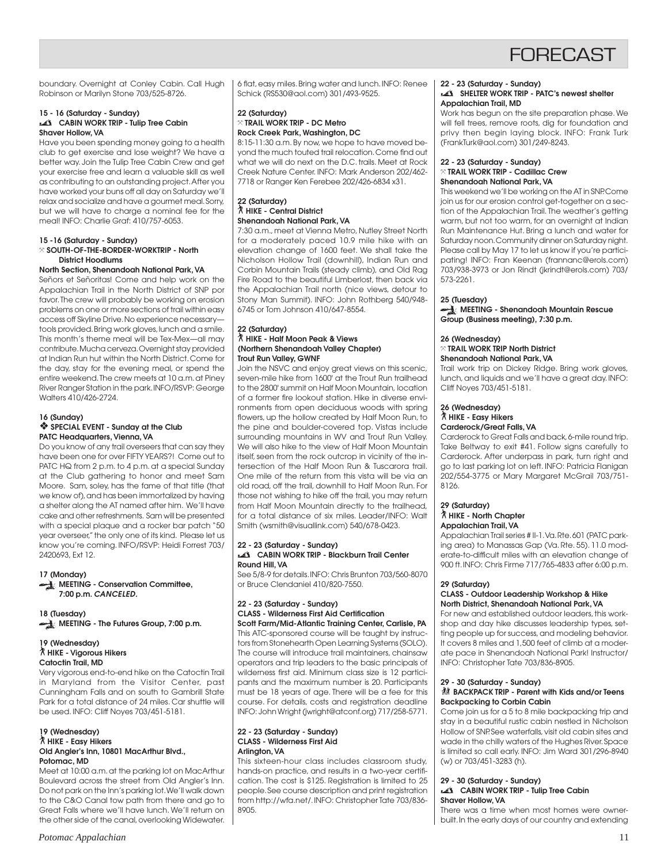

boundary. Overnight at Conley Cabin. Call Hugh Robinson or Marilyn Stone 703/525-8726.

#### **15 - 16 (Saturday - Sunday) CABIN WORK TRIP - Tulip Tree Cabin Shaver Hollow, VA**

Have you been spending money going to a health club to get exercise and lose weight? We have a better way. Join the Tulip Tree Cabin Crew and get your exercise free and learn a valuable skill as well as contributing to an outstanding project. After you have worked your buns off all day on Saturday we'll relax and socialize and have a gourmet meal. Sorry, but we will have to charge a nominal fee for the meal! INFO: Charlie Graf: 410/757-6053.

#### **15 -16 (Saturday - Sunday)** } **SOUTH-OF-THE-BORDER-WORKTRIP - North District Hoodlums**

#### **North Section, Shenandoah National Park, VA**

Señors et Señoritas! Come and help work on the Appalachian Trail in the North District of SNP por favor. The crew will probably be working on erosion problems on one or more sections of trail within easy access off Skyline Drive. No experience necessary tools provided. Bring work gloves, lunch and a smile. This month's theme meal will be Tex-Mex—all may contribute. Mucha cerveza. Overnight stay provided at Indian Run hut within the North District. Come for the day, stay for the evening meal, or spend the entire weekend. The crew meets at 10 a.m. at Piney River Ranger Station in the park. INFO/RSVP: George Walters 410/426-2724.

#### **16 (Sunday)**

#### ❖ **SPECIAL EVENT - Sunday at the Club PATC Headquarters, Vienna, VA**

Do you know of any trail overseers that can say they have been one for over FIFTY YEARS?! Come out to PATC HQ from 2 p.m. to 4 p.m. at a special Sunday at the Club gathering to honor and meet Sam Moore. Sam, soley, has the fame of that title (that we know of), and has been immortalized by having a shelter along the AT named after him. We'll have cake and other refreshments. Sam will be presented with a special plaque and a rocker bar patch "50 year overseer," the only one of its kind. Please let us know you're coming. INFO/RSVP: Heidi Forrest 703/ 2420693, Ext 12.

#### **17 (Monday)**

**MEETING - Conservation Committee, 7:00 p.m. CANCELED.**

**18 (Tuesday) MEETING - The Futures Group, 7:00 p.m.**

#### **19 (Wednesday)** ` **HIKE - Vigorous Hikers Catoctin Trail, MD**

Very vigorous end-to-end hike on the Catoctin Trail in Maryland from the Visitor Center, past Cunningham Falls and on south to Gambrill State Park for a total distance of 24 miles. Car shuttle will be used. INFO: Cliff Noyes 703/451-5181.

#### **19 (Wednesday)** ` **HIKE - Easy Hikers Old Angler's Inn, 10801 MacArthur Blvd., Potomac, MD**

Meet at 10:00 a.m. at the parking lot on MacArthur Boulevard across the street from Old Angler's Inn. Do not park on the Inn's parking lot. We'll walk down to the C&O Canal tow path from there and go to Great Falls where we'll have lunch. We'll return on the other side of the canal, overlooking Widewater. 6 flat, easy miles. Bring water and lunch. INFO: Renee Schick (RS530@aol.com) 301/493-9525.

#### **22 (Saturday)** } **TRAIL WORK TRIP - DC Metro Rock Creek Park, Washington, DC**

8:15-11:30 a.m. By now, we hope to have moved beyond the much touted trail relocation. Come find out what we will do next on the D.C. trails. Meet at Rock Creek Nature Center. INFO: Mark Anderson 202/462- 7718 or Ranger Ken Ferebee 202/426-6834 x31.

#### **22 (Saturday)** ` **HIKE - Central District Shenandoah National Park, VA**

7:30 a.m., meet at Vienna Metro, Nutley Street North for a moderately paced 10.9 mile hike with an elevation change of 1600 feet. We shall take the Nicholson Hollow Trail (downhill), Indian Run and Corbin Mountain Trails (steady climb), and Old Rag Fire Road to the beautiful Limberlost, then back via the Appalachian Trail north (nice views, detour to Stony Man Summit). INFO: John Rothberg 540/948- 6745 or Tom Johnson 410/647-8554.

#### **22 (Saturday)** ` **HIKE - Half Moon Peak & Views (Northern Shenandoah Valley Chapter) Trout Run Valley, GWNF**

Join the NSVC and enjoy great views on this scenic, seven-mile hike from 1600' at the Trout Run trailhead to the 2800' summit on Half Moon Mountain, location of a former fire lookout station. Hike in diverse environments from open deciduous woods with spring flowers, up the hollow created by Half Moon Run, to the pine and boulder-covered top. Vistas include surrounding mountains in WV and Trout Run Valley. We will also hike to the view of Half Moon Mountain itself, seen from the rock outcrop in vicinity of the intersection of the Half Moon Run & Tuscarora trail. One mile of the return from this vista will be via an old road, off the trail, downhill to Half Moon Run. For those not wishing to hike off the trail, you may return from Half Moon Mountain directly to the trailhead, for a total distance of six miles. Leader/INFO: Walt Smith (wsmith@visuallink.com) 540/678-0423.

#### **22 - 23 (Saturday - Sunday) CABIN WORK TRIP - Blackburn Trail Center Round Hill, VA**

See 5/8-9 for details. INFO: Chris Brunton 703/560-8070 or Bruce Clendaniel 410/820-7550.

#### **22 - 23 (Saturday - Sunday) CLASS - Wilderness First Aid Certification Scott Farm/Mid-Atlantic Training Center, Carlisle, PA**

This ATC-sponsored course will be taught by instructors from Stonehearth Open Learning Systems (SOLO). The course will introduce trail maintainers, chainsaw operators and trip leaders to the basic principals of wilderness first aid. Minimum class size is 12 participants and the maximum number is 20. Participants must be 18 years of age. There will be a fee for this course. For details, costs and registration deadline INFO: John Wright (jwright@atconf.org) 717/258-5771.

#### **22 - 23 (Saturday - Sunday) CLASS - Wilderness First Aid Arlington, VA**

This sixteen-hour class includes classroom study, hands-on practice, and results in a two-year certification. The cost is \$125. Registration is limited to 25 people. See course description and print registration from http://wfa.net/. INFO: Christopher Tate 703/836- 8905.

#### **22 - 23 (Saturday - Sunday)**

#### **SHELTER WORK TRIP - PATC's newest shelter Appalachian Trail, MD**

Work has begun on the site preparation phase. We will fell trees, remove roots, dig for foundation and privy then begin laying block. INFO: Frank Turk (FrankTurk@aol.com) 301/249-8243.

#### **22 - 23 (Saturday - Sunday)** } **TRAIL WORK TRIP - Cadillac Crew Shenandoah National Park, VA**

This weekend we'll be working on the AT in SNP. Come join us for our erosion control get-together on a section of the Appalachian Trail. The weather's getting warm, but not too warm, for an overnight at Indian Run Maintenance Hut. Bring a lunch and water for Saturday noon. Community dinner on Saturday night. Please call by May 17 to let us know if you're participating! INFO: Fran Keenan (frannanc@erols.com) 703/938-3973 or Jon Rindt (jkrindt@erols.com) 703/ 573-2261.

#### **25 (Tuesday)**

**MEETING - Shenandoah Mountain Rescue Group (Business meeting), 7:30 p.m.**

#### **26 (Wednesday)**

} **TRAIL WORK TRIP North District Shenandoah National Park, VA**

Trail work trip on Dickey Ridge. Bring work gloves, lunch, and liquids and we'll have a great day. INFO: Cliff Noyes 703/451-5181.

# **26 (Wednesday)**

# ` **HIKE - Easy Hikers**

**Carderock/Great Falls, VA**

Carderock to Great Falls and back, 6-mile round trip. Take Beltway to exit #41. Follow signs carefully to Carderock. After underpass in park, turn right and go to last parking lot on left. INFO: Patricia Flanigan 202/554-3775 or Mary Margaret McGrail 703/751- 8126.

#### **29 (Saturday)**

#### ` **HIKE - North Chapter Appalachian Trail, VA**

Appalachian Trail series # II-1. Va. Rte. 601 (PATC parking area) to Manassas Gap (Va. Rte. 55). 11.0 moderate-to-difficult miles with an elevation change of 900 ft. INFO: Chris Firme 717/765-4833 after 6:00 p.m.

# **29 (Saturday)**

#### **CLASS - Outdoor Leadership Workshop & Hike North District, Shenandoah National Park, VA**

For new and established outdoor leaders, this workshop and day hike discusses leadership types, setting people up for success, and modeling behavior. It covers 8 miles and 1,500 feet of climb at a moderate pace in Shenandoah National Park! Instructor/ INFO: Christopher Tate 703/836-8905.

#### **29 - 30 (Saturday - Sunday) 然 BACKPACK TRIP - Parent with Kids and/or Teens Backpacking to Corbin Cabin**

Come join us for a 5 to 8 mile backpacking trip and stay in a beautiful rustic cabin nestled in Nicholson Hollow of SNP. See waterfalls, visit old cabin sites and wade in the chilly waters of the Hughes River. Space is limited so call early. INFO: Jim Ward 301/296-8940 (w) or 703/451-3283 (h).

#### **29 - 30 (Saturday - Sunday) CABIN WORK TRIP - Tulip Tree Cabin Shaver Hollow, VA**

There was a time when most homes were ownerbuilt. In the early days of our country and extending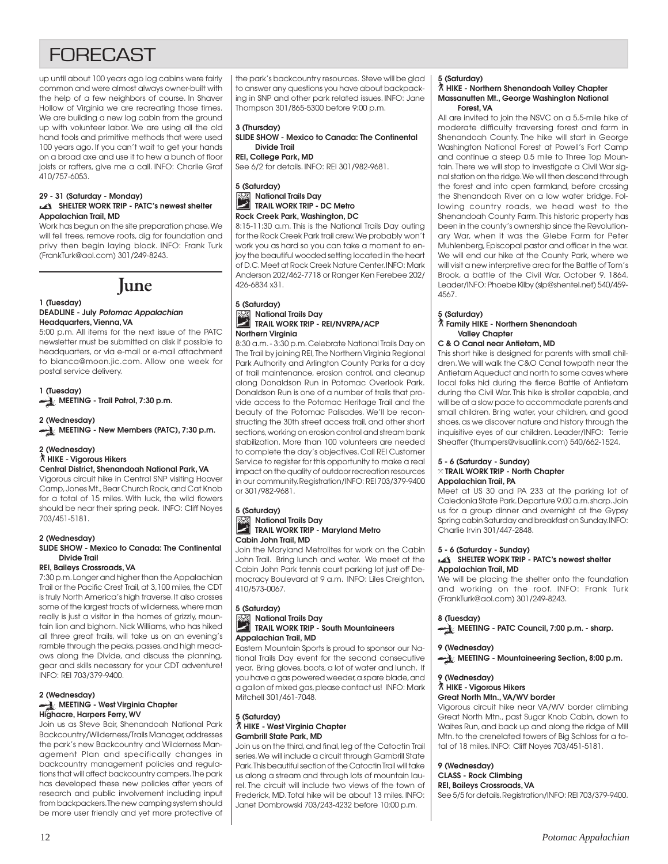# **FORFCAST**

up until about 100 years ago log cabins were fairly common and were almost always owner-built with the help of a few neighbors of course. In Shaver Hollow of Virginia we are recreating those times. We are building a new log cabin from the ground up with volunteer labor. We are using all the old hand tools and primitive methods that were used 100 years ago. If you can't wait to get your hands on a broad axe and use it to hew a bunch of floor joists or rafters, give me a call. INFO: Charlie Graf 410/757-6053.

#### **29 - 31 (Saturday - Monday) SHELTER WORK TRIP - PATC's newest shelter Appalachian Trail, MD**

Work has begun on the site preparation phase. We will fell trees, remove roots, dig for foundation and privy then begin laying block. INFO: Frank Turk (FrankTurk@aol.com) 301/249-8243.



#### **1 (Tuesday) DEADLINE - July Potomac Appalachian Headquarters, Vienna, VA**

5:00 p.m. All items for the next issue of the PATC newsletter must be submitted on disk if possible to headquarters, or via e-mail or e-mail attachment to bianca@moon.jic.com. Allow one week for postal service delivery.

# **1 (Tuesday)**

**MEETING - Trail Patrol, 7:30 p.m.** 

# **2 (Wednesday)**

**MEETING - New Members (PATC), 7:30 p.m.** 

### **2 (Wednesday)**

#### ` **HIKE - Vigorous Hikers Central District, Shenandoah National Park, VA**

Vigorous circuit hike in Central SNP visiting Hoover Camp, Jones Mt., Bear Church Rock, and Cat Knob for a total of 15 miles. With luck, the wild flowers should be near their spring peak. INFO: Cliff Noyes 703/451-5181.

#### **2 (Wednesday)**

#### **SLIDE SHOW - Mexico to Canada: The Continental Divide Trail**

#### **REI, Baileys Crossroads, VA**

7:30 p.m. Longer and higher than the Appalachian Trail or the Pacific Crest Trail, at 3,100 miles, the CDT is truly North America's high traverse. It also crosses some of the largest tracts of wilderness, where man really is just a visitor in the homes of grizzly, mountain lion and bighorn. Nick Williams, who has hiked all three great trails, will take us on an evening's ramble through the peaks, passes, and high meadows along the Divide, and discuss the planning, gear and skills necessary for your CDT adventure! INFO: REI 703/379-9400.

#### **2 (Wednesday) MEETING - West Virginia Chapter Highacre, Harpers Ferry, WV**

Join us as Steve Bair, Shenandoah National Park Backcountry/Wilderness/Trails Manager, addresses the park's new Backcountry and Wilderness Management Plan and specifically changes in backcountry management policies and regulations that will affect backcountry campers. The park has developed these new policies after years of research and public involvement including input from backpackers. The new camping system should be more user friendly and yet more protective of the park's backcountry resources. Steve will be glad to answer any questions you have about backpacking in SNP and other park related issues. INFO: Jane Thompson 301/865-5300 before 9:00 p.m.

# **3 (Thursday)**

**SLIDE SHOW - Mexico to Canada: The Continental Divide Trail**

**REI, College Park, MD**

See 6/2 for details. INFO: REI 301/982-9681.

#### **5 (Saturday) National Trails Day**  $\sum_{i=1}^{\infty}$ **TRAIL WORK TRIP - DC Metro Rock Creek Park, Washington, DC**

8:15-11:30 a.m. This is the National Trails Day outing for the Rock Creek Park trail crew. We probably won't work you as hard so you can take a moment to enjoy the beautiful wooded setting located in the heart of D.C. Meet at Rock Creek Nature Center. INFO: Mark Anderson 202/462-7718 or Ranger Ken Ferebee 202/ 426-6834 x31.

#### **5 (Saturday) National Trails Day** الجميع **TRAIL WORK TRIP - REI/NVRPA/ACP Northern Virginia**

8:30 a.m. - 3:30 p.m. Celebrate National Trails Day on The Trail by joining REI, The Northern Virginia Regional Park Authority and Arlington County Parks for a day of trail maintenance, erosion control, and cleanup along Donaldson Run in Potomac Overlook Park. Donaldson Run is one of a number of trails that provide access to the Potomac Heritage Trail and the beauty of the Potomac Palisades. We'll be reconstructing the 30th street access trail, and other short sections, working on erosion control and stream bank stabilization. More than 100 volunteers are needed to complete the day's objectives. Call REI Customer Service to register for this opportunity to make a real impact on the quality of outdoor recreation resources in our community. Registration/INFO: REI 703/379-9400 or 301/982-9681.

#### **5 (Saturday) National Trails Day**  $\rightarrow$ **TRAIL WORK TRIP - Maryland Metro Cabin John Trail, MD**

Join the Maryland Metrolites for work on the Cabin John Trail. Bring lunch and water. We meet at the Cabin John Park tennis court parking lot just off Democracy Boulevard at 9 a.m. INFO: Liles Creighton, 410/573-0067.

#### **5 (Saturday) National Trails Day**

#### **TRAIL WORK TRIP - South Mountaineers Appalachian Trail, MD**

Eastern Mountain Sports is proud to sponsor our National Trails Day event for the second consecutive year. Bring gloves, boots, a lot of water and lunch. If you have a gas powered weeder, a spare blade, and a gallon of mixed gas, please contact us! INFO: Mark Mitchell 301/461-7048.

#### **5 (Saturday)** ` **HIKE - West Virginia Chapter Gambrill State Park, MD**

Join us on the third, and final, leg of the Catoctin Trail series. We will include a circuit through Gambrill State Park. This beautiful section of the Catoctin Trail will take us along a stream and through lots of mountain laurel. The circuit will include two views of the town of Frederick, MD. Total hike will be about 13 miles. INFO: Janet Dombrowski 703/243-4232 before 10:00 p.m.

#### **5 (Saturday)**

#### ` **HIKE - Northern Shenandoah Valley Chapter Massanutten Mt., George Washington National Forest, VA**

All are invited to join the NSVC on a 5.5-mile hike of moderate difficulty traversing forest and farm in Shenandoah County. The hike will start in George Washington National Forest at Powell's Fort Camp and continue a steep 0.5 mile to Three Top Mountain. There we will stop to investigate a Civil War signal station on the ridge. We will then descend through the forest and into open farmland, before crossing the Shenandoah River on a low water bridge. Following country roads, we head west to the Shenandoah County Farm. This historic property has been in the county's ownership since the Revolutionary War, when it was the Glebe Farm for Peter Muhlenberg, Episcopal pastor and officer in the war. We will end our hike at the County Park, where we will visit a new interpretive area for the Battle of Tom's Brook, a battle of the Civil War, October 9, 1864. Leader/INFO: Phoebe Kilby (slp@shentel.net) 540/459- 4567.

#### **5 (Saturday)**

#### ` **Family HIKE - Northern Shenandoah Valley Chapter**

#### **C & O Canal near Antietam, MD**

This short hike is designed for parents with small children. We will walk the C&O Canal towpath near the Antietam Aqueduct and north to some caves where local folks hid during the fierce Battle of Antietam during the Civil War. This hike is stroller capable, and will be at a slow pace to accommodate parents and small children. Bring water, your children, and good shoes, as we discover nature and history through the inquisitive eyes of our children. Leader/INFO: Terrie Sheaffer (thumpers@visuallink.com) 540/662-1524.

#### **5 - 6 (Saturday - Sunday)** } **TRAIL WORK TRIP - North Chapter Appalachian Trail, PA**

Meet at US 30 and PA 233 at the parking lot of Caledonia State Park. Departure 9:00 a.m. sharp. Join us for a group dinner and overnight at the Gypsy Spring cabin Saturday and breakfast on Sunday. INFO: Charlie Irvin 301/447-2848.

#### **5 - 6 (Saturday - Sunday) SHELTER WORK TRIP - PATC's newest shelter Appalachian Trail, MD**

We will be placing the shelter onto the foundation and working on the roof. INFO: Frank Turk (FrankTurk@aol.com) 301/249-8243.

### **8 (Tuesday)**

MEETING - PATC Council, 7:00 p.m. - sharp.

#### **9 (Wednesday) MEETING - Mountaineering Section, 8:00 p.m.**

# **9 (Wednesday)**

#### ` **HIKE - Vigorous Hikers Great North Mtn., VA/WV border**

Vigorous circuit hike near VA/WV border climbing Great North Mtn., past Sugar Knob Cabin, down to Waites Run, and back up and along the ridge of Mill Mtn. to the crenelated towers of Big Schloss for a total of 18 miles. INFO: Cliff Noyes 703/451-5181.

### **9 (Wednesday)**

### **CLASS - Rock Climbing**

**REI, Baileys Crossroads, VA**

See 5/5 for details. Registration/INFO: REI 703/379-9400.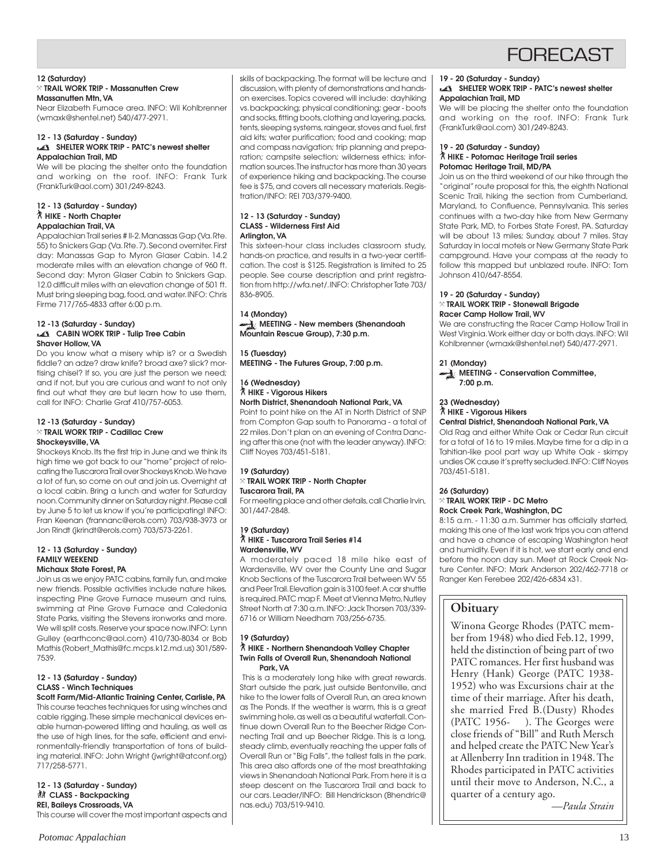

#### **12 (Saturday)** } **TRAIL WORK TRIP - Massanutten Crew Massanutten Mtn, VA**

Near Elizabeth Furnace area. INFO: Wil Kohlbrenner (wmaxk@shentel.net) 540/477-2971.

#### **12 - 13 (Saturday - Sunday) SHELTER WORK TRIP - PATC's newest shelter Appalachian Trail, MD**

We will be placing the shelter onto the foundation and working on the roof. INFO: Frank Turk (FrankTurk@aol.com) 301/249-8243.

#### **12 - 13 (Saturday - Sunday)** ` **HIKE - North Chapter Appalachian Trail, VA**

Appalachian Trail series # II-2. Manassas Gap (Va. Rte. 55) to Snickers Gap (Va. Rte. 7). Second overniter. First day: Manassas Gap to Myron Glaser Cabin. 14.2 moderate miles with an elevation change of 960 ft. Second day: Myron Glaser Cabin to Snickers Gap. 12.0 difficult miles with an elevation change of 501 ft. Must bring sleeping bag, food, and water. INFO: Chris Firme 717/765-4833 after 6:00 p.m.

#### **12 -13 (Saturday - Sunday) CABIN WORK TRIP - Tulip Tree Cabin Shaver Hollow, VA**

Do you know what a misery whip is? or a Swedish fiddle? an adze? draw knife? broad axe? slick? mortising chisel? If so, you are just the person we need; and if not, but you are curious and want to not only find out what they are but learn how to use them, call for INFO: Charlie Graf 410/757-6053.

#### **12 -13 (Saturday - Sunday)** } **TRAIL WORK TRIP - Cadillac Crew Shockeysville, VA**

Shockeys Knob. Its the first trip in June and we think its high time we got back to our "home" project of relocating the Tuscarora Trail over Shockeys Knob. We have a lot of fun, so come on out and join us. Overnight at a local cabin. Bring a lunch and water for Saturday noon. Community dinner on Saturday night. Please call by June 5 to let us know if you're participating! INFO: Fran Keenan (frannanc@erols.com) 703/938-3973 or Jon Rindt (jkrindt@erols.com) 703/573-2261.

#### **12 - 13 (Saturday - Sunday) FAMILY WEEKEND Michaux State Forest, PA**

Join us as we enjoy PATC cabins, family fun, and make new friends. Possible activities include nature hikes, inspecting Pine Grove Furnace museum and ruins, swimming at Pine Grove Furnace and Caledonia State Parks, visiting the Stevens ironworks and more. We will split costs. Reserve your space now. INFO: Lynn Gulley (earthconc@aol.com) 410/730-8034 or Bob Mathis (Robert\_Mathis@fc.mcps.k12.md.us) 301/589- 7539.

#### **12 - 13 (Saturday - Sunday) CLASS - Winch Techniques Scott Farm/Mid-Atlantic Training Center, Carlisle, PA**

This course teaches techniques for using winches and cable rigging. These simple mechanical devices enable human-powered lifting and hauling, as well as the use of high lines, for the safe, efficient and environmentally-friendly transportation of tons of building material. INFO: John Wright (jwright@atconf.org) 717/258-5771.

**12 - 13 (Saturday - Sunday) 然 CLASS - Backpacking REI, Baileys Crossroads, VA** This course will cover the most important aspects and skills of backpacking. The format will be lecture and discussion, with plenty of demonstrations and handson exercises. Topics covered will include: dayhiking vs. backpacking; physical conditioning; gear - boots and socks, fitting boots, clothing and layering, packs, tents, sleeping systems, raingear, stoves and fuel, first aid kits; water purification; food and cooking; map and compass navigation; trip planning and preparation; campsite selection; wilderness ethics; information sources. The instructor has more than 30 years of experience hiking and backpacking. The course fee is \$75, and covers all necessary materials. Registration/INFO: REI 703/379-9400.

#### **12 - 13 (Saturday - Sunday) CLASS - Wilderness First Aid Arlington, VA**

This sixteen-hour class includes classroom study, hands-on practice, and results in a two-year certification. The cost is \$125. Registration is limited to 25 people. See course description and print registration from http://wfa.net/. INFO: Christopher Tate 703/ 836-8905.

**14 (Monday) MEETING - New members (Shenandoah Mountain Rescue Group), 7:30 p.m.**

# **15 (Tuesday)**

**MEETING - The Futures Group, 7:00 p.m.**

# **16 (Wednesday)**

#### ` **HIKE - Vigorous Hikers North District, Shenandoah National Park, VA**

Point to point hike on the AT in North District of SNP from Compton Gap south to Panorama - a total of 22 miles. Don't plan on an evening of Contra Dancing after this one (not with the leader anyway). INFO: Cliff Noyes 703/451-5181.

#### **19 (Saturday)** } **TRAIL WORK TRIP - North Chapter Tuscarora Trail, PA**

For meeting place and other details, call Charlie Irvin, 301/447-2848.

#### **19 (Saturday)** ` **HIKE - Tuscarora Trail Series #14 Wardensville, WV**

A moderately paced 18 mile hike east of Wardensville, WV over the County Line and Sugar Knob Sections of the Tuscarora Trail between WV 55 and Peer Trail. Elevation gain is 3100 feet. A car shuttle is required. PATC map F. Meet at Vienna Metro, Nutley Street North at 7:30 a.m. INFO: Jack Thorsen 703/339- 6716 or William Needham 703/256-6735.

#### **19 (Saturday)** ` **HIKE - Northern Shenandoah Valley Chapter Twin Falls of Overall Run, Shenandoah National Park, VA**

 This is a moderately long hike with great rewards. Start outside the park, just outside Bentonville, and hike to the lower falls of Overall Run, an area known as The Ponds. If the weather is warm, this is a great swimming hole, as well as a beautiful waterfall. Continue down Overall Run to the Beecher Ridge Connecting Trail and up Beecher Ridge. This is a long, steady climb, eventually reaching the upper falls of Overall Run or "Big Falls", the tallest falls in the park. This area also affords one of the most breathtaking views in Shenandoah National Park. From here it is a steep descent on the Tuscarora Trail and back to our cars. Leader/INFO: Bill Hendrickson (Bhendric@ nas.edu) 703/519-9410.

#### **19 - 20 (Saturday - Sunday) SHELTER WORK TRIP - PATC's newest shelter Appalachian Trail, MD**

We will be placing the shelter onto the foundation and working on the roof. INFO: Frank Turk (FrankTurk@aol.com) 301/249-8243.

#### **19 - 20 (Saturday - Sunday)** ` **HIKE - Potomac Heritage Trail series Potomac Heritage Trail, MD/PA**

Join us on the third weekend of our hike through the "original" route proposal for this, the eighth National Scenic Trail, hiking the section from Cumberland, Maryland, to Confluence, Pennsylvania. This series continues with a two-day hike from New Germany State Park, MD, to Forbes State Forest, PA. Saturday will be about 13 miles; Sunday, about 7 miles. Stay Saturday in local motels or New Germany State Park campground. Have your compass at the ready to follow this mapped but unblazed route. INFO: Tom Johnson 410/647-8554.

#### **19 - 20 (Saturday - Sunday)** } **TRAIL WORK TRIP - Stonewall Brigade Racer Camp Hollow Trail, WV**

We are constructing the Racer Camp Hollow Trail in West Virginia. Work either day or both days. INFO: Wil Kohlbrenner (wmaxk@shentel.net) 540/477-2971.

#### **21 (Monday)**

**MEETING - Conservation Committee, 7:00 p.m.**

#### **23 (Wednesday)** ` **HIKE - Vigorous Hikers**

#### **Central District, Shenandoah National Park, VA**

Old Rag and either White Oak or Cedar Run circuit for a total of 16 to 19 miles. Maybe time for a dip in a Tahitian-like pool part way up White Oak - skimpy undies OK cause it's pretty secluded. INFO: Cliff Noyes 703/451-5181.

#### **26 (Saturday)**

#### } **TRAIL WORK TRIP - DC Metro Rock Creek Park, Washington, DC**

8:15 a.m. - 11:30 a.m. Summer has officially started, making this one of the last work trips you can attend and have a chance of escaping Washington heat and humidity. Even if it is hot, we start early and end before the noon day sun. Meet at Rock Creek Nature Center. INFO: Mark Anderson 202/462-7718 or Ranger Ken Ferebee 202/426-6834 x31.

# **Obituary**

Winona George Rhodes (PATC member from 1948) who died Feb.12, 1999, held the distinction of being part of two PATC romances. Her first husband was Henry (Hank) George (PATC 1938- 1952) who was Excursions chair at the time of their marriage. After his death, she married Fred B.(Dusty) Rhodes (PATC 1956- ). The Georges were close friends of "Bill" and Ruth Mersch and helped create the PATC New Year's at Allenberry Inn tradition in 1948. The Rhodes participated in PATC activities until their move to Anderson, N.C., a quarter of a century ago.

*—Paula Strain*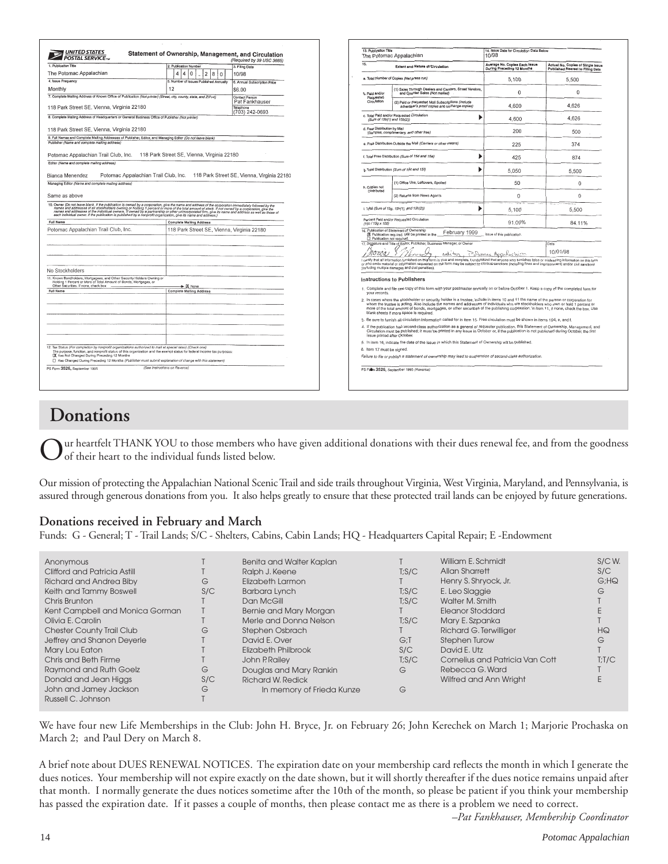| <b>UNITED STATES</b><br><b>POSTAL SERVICET</b>                                                                                                                                                                                                                                   | Statement of Ownership, Management, and Circulation<br>2. Publication Number<br>12<br>18<br>l O<br>5. Number of Issues Published Annually<br>12<br>7. Complete Mailing Address of Known Office of Publication (Not printer) (Street, city, county, state, and ZIP+4)                                                                                 | (Required by 39 USC 3685)<br>3. Filing Date<br>10/98<br>6. Annual Subscription Price<br>\$6.00 | 13. Publication Title<br>$\overline{15}$                                                                                                                                 | The Potomac Appalachian<br><b>Extent and Nature of Circulation</b>                                                                                                                                                                                                                                                                                                                                                                                                  | 14. Issue Date for Circulation Data Below<br>10/98<br>Average No. Copies Each Issue |                                                                       |  |  |
|----------------------------------------------------------------------------------------------------------------------------------------------------------------------------------------------------------------------------------------------------------------------------------|------------------------------------------------------------------------------------------------------------------------------------------------------------------------------------------------------------------------------------------------------------------------------------------------------------------------------------------------------|------------------------------------------------------------------------------------------------|--------------------------------------------------------------------------------------------------------------------------------------------------------------------------|---------------------------------------------------------------------------------------------------------------------------------------------------------------------------------------------------------------------------------------------------------------------------------------------------------------------------------------------------------------------------------------------------------------------------------------------------------------------|-------------------------------------------------------------------------------------|-----------------------------------------------------------------------|--|--|
| 1. Publication Title<br>The Potomac Appalachian<br>4. Issue Frequency<br>Monthly<br>118 Park Street SE, Vienna, Virginia 22180<br>8. Complete Maling Address of Headquarters or General Business Office of Publisher (Not printer)<br>118 Park Street SE, Vienna, Virginia 22180 |                                                                                                                                                                                                                                                                                                                                                      |                                                                                                |                                                                                                                                                                          |                                                                                                                                                                                                                                                                                                                                                                                                                                                                     |                                                                                     |                                                                       |  |  |
|                                                                                                                                                                                                                                                                                  |                                                                                                                                                                                                                                                                                                                                                      |                                                                                                |                                                                                                                                                                          |                                                                                                                                                                                                                                                                                                                                                                                                                                                                     | During Preceding 12 Months                                                          | Actual No. Copies of Single Issue<br>Published Nearest to Filing Date |  |  |
|                                                                                                                                                                                                                                                                                  |                                                                                                                                                                                                                                                                                                                                                      |                                                                                                |                                                                                                                                                                          | a. Total Number of Copies (Nat press run)                                                                                                                                                                                                                                                                                                                                                                                                                           | 5.100                                                                               | 5.500                                                                 |  |  |
|                                                                                                                                                                                                                                                                                  |                                                                                                                                                                                                                                                                                                                                                      |                                                                                                | b. Paid and/or                                                                                                                                                           | 1) Sales Through Dealers and Carriers, Street Vendors,<br>and Counter Sales (Not mailed)                                                                                                                                                                                                                                                                                                                                                                            | $\Omega$                                                                            | $\mathbf{0}$                                                          |  |  |
|                                                                                                                                                                                                                                                                                  |                                                                                                                                                                                                                                                                                                                                                      | Contact Person<br>Pat Fankhauser                                                               | Requested<br>Circulation                                                                                                                                                 | (2) Paid or Requested Mall Subscriptions (Include<br>advertiser's proof copies and exchange copies)                                                                                                                                                                                                                                                                                                                                                                 | 4.600                                                                               | 4,626                                                                 |  |  |
|                                                                                                                                                                                                                                                                                  |                                                                                                                                                                                                                                                                                                                                                      | Telephone<br>(703) 242-0693                                                                    | (Sum of 15b(1) and 15b(2))                                                                                                                                               | c. Total Paid and/or Requested Circulation                                                                                                                                                                                                                                                                                                                                                                                                                          | 4.600                                                                               | 4,626                                                                 |  |  |
|                                                                                                                                                                                                                                                                                  |                                                                                                                                                                                                                                                                                                                                                      |                                                                                                | d. Free Distribution by Mail                                                                                                                                             |                                                                                                                                                                                                                                                                                                                                                                                                                                                                     | 200                                                                                 | 500                                                                   |  |  |
| Publisher (Name and complete mailing address)                                                                                                                                                                                                                                    | 9. Full Names and Complete Malling Addresses of Publisher, Editor, and Managing Editor (Do not leave blank)                                                                                                                                                                                                                                          |                                                                                                |                                                                                                                                                                          | (Samples, complimentary, and other free)<br>e. Free Distribution Outside the Mail (Carriers or other means)                                                                                                                                                                                                                                                                                                                                                         | 225                                                                                 | 374                                                                   |  |  |
|                                                                                                                                                                                                                                                                                  | Potomac Appalachian Trail Club, Inc. 118 Park Street SE, Vienna, Virginia 22180                                                                                                                                                                                                                                                                      |                                                                                                |                                                                                                                                                                          | f. Total Free Distribution (Sum of 15d and 15e)                                                                                                                                                                                                                                                                                                                                                                                                                     | 425                                                                                 | 874                                                                   |  |  |
| Editor (Name and complete mailing address)                                                                                                                                                                                                                                       |                                                                                                                                                                                                                                                                                                                                                      |                                                                                                |                                                                                                                                                                          |                                                                                                                                                                                                                                                                                                                                                                                                                                                                     |                                                                                     |                                                                       |  |  |
| Bianca Menendez                                                                                                                                                                                                                                                                  | Potomac Appalachian Trail Club, Inc. 118 Park Street SE, Vienna, Virginia 22180                                                                                                                                                                                                                                                                      |                                                                                                |                                                                                                                                                                          | g. Total Distribution (Sum of 15c and 15f)                                                                                                                                                                                                                                                                                                                                                                                                                          | 5.050                                                                               | 5.500                                                                 |  |  |
| Managing Editor (Name and complete mailing address)                                                                                                                                                                                                                              |                                                                                                                                                                                                                                                                                                                                                      |                                                                                                | h. Copies not                                                                                                                                                            | (1) Office Use, Leftovers, Spoiled                                                                                                                                                                                                                                                                                                                                                                                                                                  | 50                                                                                  | $\Omega$                                                              |  |  |
| Same as above                                                                                                                                                                                                                                                                    |                                                                                                                                                                                                                                                                                                                                                      |                                                                                                | Distributed                                                                                                                                                              | (2) Returns from News Agents                                                                                                                                                                                                                                                                                                                                                                                                                                        | $\Omega$                                                                            | $\Omega$                                                              |  |  |
|                                                                                                                                                                                                                                                                                  | 10. Owner (Do not leave blank. If the publication is owned by a corporation, give the name and address of the corporation immediately (oliowed by the<br>names and addresses of all slockholders owning or holding 1 percent or m<br>each individual owner. If the publication is published by a nonprofit organization, give its name and address.) |                                                                                                |                                                                                                                                                                          | i. Total (Sum of 15g, 15h(1), and 15h(2))                                                                                                                                                                                                                                                                                                                                                                                                                           | 5.100                                                                               | 5.500                                                                 |  |  |
| <b>Full Name</b>                                                                                                                                                                                                                                                                 | <b>Complete Mailing Address</b>                                                                                                                                                                                                                                                                                                                      |                                                                                                | (15c / 15g x 100)                                                                                                                                                        | Percent Paid and/or Requested Circulation                                                                                                                                                                                                                                                                                                                                                                                                                           | 91.09%                                                                              | 84.11%                                                                |  |  |
| Potomac Appalachian Trail Club, Inc.<br>118 Park Street SE, Vienna, Virginia 22180                                                                                                                                                                                               |                                                                                                                                                                                                                                                                                                                                                      |                                                                                                | 16. Publication of Statement of Ownership<br>February 1999<br>issue of this publication.<br>DI Publication required. Will be printed in the<br>Publication not regulred. |                                                                                                                                                                                                                                                                                                                                                                                                                                                                     |                                                                                     |                                                                       |  |  |
|                                                                                                                                                                                                                                                                                  |                                                                                                                                                                                                                                                                                                                                                      |                                                                                                |                                                                                                                                                                          | 17. Signature and Title of Editor, Publisher, Business Manager, or Owner                                                                                                                                                                                                                                                                                                                                                                                            | Date                                                                                |                                                                       |  |  |
|                                                                                                                                                                                                                                                                                  |                                                                                                                                                                                                                                                                                                                                                      |                                                                                                | nomoa                                                                                                                                                                    | editor                                                                                                                                                                                                                                                                                                                                                                                                                                                              | Potemac Appulactum                                                                  | 10/01/98                                                              |  |  |
|                                                                                                                                                                                                                                                                                  |                                                                                                                                                                                                                                                                                                                                                      |                                                                                                |                                                                                                                                                                          | I certify that all information furnished on this florm is true and complete. I understand that anyone who furnishes false or misleading information on this form<br>or who omits material or information requested on the form may be subject to criminal sanctions (including fines and imprisonment) and/or civil sanctions<br>(including multiple damages and civil penalties).                                                                                  |                                                                                     |                                                                       |  |  |
| No Stockholders                                                                                                                                                                                                                                                                  |                                                                                                                                                                                                                                                                                                                                                      |                                                                                                |                                                                                                                                                                          |                                                                                                                                                                                                                                                                                                                                                                                                                                                                     |                                                                                     |                                                                       |  |  |
| 11. Known Bondholders, Mortgagees, and Other Security Holders Owning or<br>Holding 1 Percent or More of Total Amount of Bonds, Mortgages, or<br>Other Securities, If none, check box                                                                                             |                                                                                                                                                                                                                                                                                                                                                      |                                                                                                |                                                                                                                                                                          | Instructions to Publishers                                                                                                                                                                                                                                                                                                                                                                                                                                          |                                                                                     |                                                                       |  |  |
| Full Name                                                                                                                                                                                                                                                                        | $\blacktriangleright \boxtimes$ None<br><b>Complete Mailing Address</b>                                                                                                                                                                                                                                                                              |                                                                                                | your records.                                                                                                                                                            | 1. Complete and file one copy of this form with your postmaster annually on or before October 1. Keep a copy of the completed form for                                                                                                                                                                                                                                                                                                                              |                                                                                     |                                                                       |  |  |
|                                                                                                                                                                                                                                                                                  |                                                                                                                                                                                                                                                                                                                                                      |                                                                                                |                                                                                                                                                                          | 2. In cases where the stockholder or security holder is a trustee, include in items 10 and 11 the name of the person or corporation for<br>whom the trustee is acting. Also include the names and addresses of individuals who are stockholders who own or hold 1 percent or<br>more of the total amount of bonds, mortgages, or other securities of the publishing corporation, in item 11, if none, check the box. Use<br>blank sheets if more space is required. |                                                                                     |                                                                       |  |  |
|                                                                                                                                                                                                                                                                                  |                                                                                                                                                                                                                                                                                                                                                      |                                                                                                |                                                                                                                                                                          | 3. Be sure to furnish all circulation information called for in item 15. Free circulation must be shown in items 15d, e, and f.                                                                                                                                                                                                                                                                                                                                     |                                                                                     |                                                                       |  |  |
|                                                                                                                                                                                                                                                                                  |                                                                                                                                                                                                                                                                                                                                                      |                                                                                                | issue printed after October.                                                                                                                                             | 4. If the publication had second-class authorization as a general or requester publication, this Statement of Ownership, Management, and<br>Circulation must be published; it must be printed in any issue in October or, if the publication is not published during October, the first                                                                                                                                                                             |                                                                                     |                                                                       |  |  |
|                                                                                                                                                                                                                                                                                  |                                                                                                                                                                                                                                                                                                                                                      |                                                                                                |                                                                                                                                                                          | 5. In item 16, indicate the date of the issue in which this Statement of Ownership will be published.                                                                                                                                                                                                                                                                                                                                                               |                                                                                     |                                                                       |  |  |
| 12. Tax Status (For completion by nonprofit organizations authorized to mail at special rates) (Check one)<br>X Has Not Changed During Preceding 12 Months                                                                                                                       | The purpose, function, and nonprofit status of this organization and the exempt status for federal income tax purposes:                                                                                                                                                                                                                              |                                                                                                | 6. Item 17 must be signed.                                                                                                                                               | Failure to file or publish a statement of ownership may lead to suspension of second-class authorization.                                                                                                                                                                                                                                                                                                                                                           |                                                                                     |                                                                       |  |  |
| PS Form 3526, September 1995                                                                                                                                                                                                                                                     | □ Has Changed During Preceding 12 Months (Publisher must submit explanation of change with this statement)<br>(See Instructions on Reverse)                                                                                                                                                                                                          |                                                                                                |                                                                                                                                                                          | PS Form 3526, September 1995 (Reverse)                                                                                                                                                                                                                                                                                                                                                                                                                              |                                                                                     |                                                                       |  |  |

# **Donations**

ur heartfelt THANK YOU to those members who have given additional donations with their dues renewal fee, and from the goodness of their heart to the individual funds listed below.

Our mission of protecting the Appalachian National Scenic Trail and side trails throughout Virginia, West Virginia, Maryland, and Pennsylvania, is assured through generous donations from you. It also helps greatly to ensure that these protected trail lands can be enjoyed by future generations.

# **Donations received in February and March**

Funds: G - General; T - Trail Lands; S/C - Shelters, Cabins, Cabin Lands; HQ - Headquarters Capital Repair; E -Endowment

| Anonymous                        |     | Benita and Walter Kaplan  |        | William E. Schmidt              | S/CW.  |
|----------------------------------|-----|---------------------------|--------|---------------------------------|--------|
| Clifford and Patricia Astill     |     | Ralph J. Keene            | T: S/C | Allan Sharrett                  | S/C    |
| <b>Richard and Andrea Biby</b>   | G   | Elizabeth Larmon          |        | Henry S. Shryock, Jr.           | G:HQ   |
| Keith and Tammy Boswell          | S/C | Barbara Lynch             | T; S/C | E. Leo Slaggie                  | G      |
| Chris Brunton                    |     | Dan McGill                | T: S/C | Walter M. Smith                 |        |
| Kent Campbell and Monica Gorman  |     | Bernie and Mary Morgan    |        | Eleanor Stoddard                |        |
| Olivia E. Carolin                |     | Merle and Donna Nelson    | T: S/C | Mary E. Szpanka                 |        |
| <b>Chester County Trail Club</b> | G   | Stephen Osbrach           |        | Richard G. Terwilliger          | HQ     |
| Jeffrey and Shanon Deyerle       |     | David E. Over             | $G:$ T | Stephen Turow                   | G      |
| Mary Lou Eaton                   |     | Elizabeth Philbrook       | S/C    | David E. Utz                    |        |
| Chris and Beth Firme             |     | John P. Railev            | T: S/C | Cornelius and Patricia Van Cott | T: T/C |
| <b>Raymond and Ruth Goelz</b>    | G   | Douglas and Mary Rankin   | G      | Rebecca G. Ward                 |        |
| Donald and Jean Higgs            | S/C | <b>Richard W. Redick</b>  |        | Wilfred and Ann Wriaht          |        |
| John and Jamey Jackson           | G   | In memory of Frieda Kunze | G      |                                 |        |
| Russell C. Johnson               |     |                           |        |                                 |        |

We have four new Life Memberships in the Club: John H. Bryce, Jr. on February 26; John Kerechek on March 1; Marjorie Prochaska on March 2; and Paul Dery on March 8.

A brief note about DUES RENEWAL NOTICES. The expiration date on your membership card reflects the month in which I generate the dues notices. Your membership will not expire exactly on the date shown, but it will shortly thereafter if the dues notice remains unpaid after that month. I normally generate the dues notices sometime after the 10th of the month, so please be patient if you think your membership has passed the expiration date. If it passes a couple of months, then please contact me as there is a problem we need to correct.

*–Pat Fankhauser, Membership Coordinator*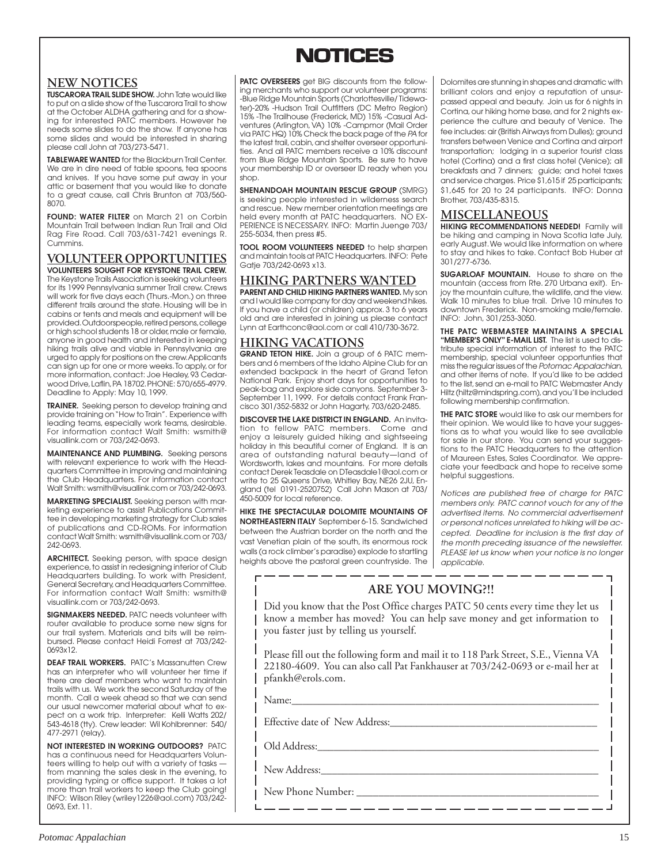# **NOTICES NOTICES**

# **NEW NOTICES**

**TUSCARORA TRAIL SLIDE SHOW.** John Tate would like to put on a slide show of the Tuscarora Trail to show at the October ALDHA gathering and for a showing for interested PATC members. However he needs some slides to do the show. If anyone has some slides and would be interested in sharing please call John at 703/273-5471.

**TABLEWARE WANTED** for the Blackburn Trail Center. We are in dire need of table spoons, tea spoons and knives. If you have some put away in your attic or basement that you would like to donate to a great cause, call Chris Brunton at 703/560- 8070.

**FOUND: WATER FILTER** on March 21 on Corbin Mountain Trail between Indian Run Trail and Old Rag Fire Road. Call 703/631-7421 evenings R. Cummins.

**VOLUNTEER OPPORTUNITIES VOLUNTEERS SOUGHT FOR KEYSTONE TRAIL CREW.** The Keystone Trails Association is seeking volunteers for its 1999 Pennsylvania summer Trail crew. Crews will work for five days each (Thurs.-Mon.) on three different trails around the state. Housing will be in cabins or tents and meals and equipment will be provided. Outdoorspeople, retired persons, college or high school students 18 or older, male or female, anyone in good health and interested in keeping hiking trails alive and viable in Pennsylvania are urged to apply for positions on the crew. Applicants can sign up for one or more weeks. To apply, or for more information, contact: Joe Healey, 93 Cedarwood Drive, Laflin, PA 18702. PHONE: 570/655-4979. Deadline to Apply: May 10, 1999.

**TRAINER.** Seeking person to develop training and provide training on "How to Train". Experience with leading teams, especially work teams, desirable. For information contact Walt Smith: wsmith@ visuallink.com or 703/242-0693.

**MAINTENANCE AND PLUMBING.** Seeking persons with relevant experience to work with the Headquarters Committee in improving and maintaining the Club Headquarters. For information contact Walt Smith: wsmith@visuallink.com or 703/242-0693.

**MARKETING SPECIALIST.** Seeking person with marketing experience to assist Publications Committee in developing marketing strategy for Club sales of publications and CD-ROMs. For information contact Walt Smith: wsmith@visuallink.com or 703/ 242-0693.

**ARCHITECT.** Seeking person, with space design experience, to assist in redesigning interior of Club Headquarters building. To work with President, General Secretary, and Headquarters Committee. For information contact Walt Smith: wsmith@ visuallink.com or 703/242-0693.

**SIGNMAKERS NEEDED.** PATC needs volunteer with router available to produce some new signs for our trail system. Materials and bits will be reimbursed. Please contact Heidi Forrest at 703/242- 0693x12.

**DEAF TRAIL WORKERS.** PATC's Massanutten Crew has an interpreter who will volunteer her time if there are deaf members who want to maintain trails with us. We work the second Saturday of the month. Call a week ahead so that we can send our usual newcomer material about what to expect on a work trip. Interpreter: Kelli Watts 202/ 543-4618 (tty). Crew leader: Wil Kohlbrenner: 540/ 477-2971 (relay).

**NOT INTERESTED IN WORKING OUTDOORS?** PATC has a continuous need for Headquarters Volunteers willing to help out with a variety of tasks from manning the sales desk in the evening, to providing typing or office support. It takes a lot more than trail workers to keep the Club going! INFO: Wilson Riley (wriley1226@aol.com) 703/242- 0693, Ext. 11.

**PATC OVERSEERS** get BIG discounts from the following merchants who support our volunteer programs: -Blue Ridge Mountain Sports (Charlottesville/ Tidewater)-20% -Hudson Trail Outfitters (DC Metro Region) 15% -The Trailhouse (Frederick, MD) 15% -Casual Adventures (Arlington, VA) 10% -Campmor (Mail Order via PATC HQ) 10% Check the back page of the PA for the latest trail, cabin, and shelter overseer opportunities. And all PATC members receive a 10% discount from Blue Ridge Mountain Sports. Be sure to have your membership ID or overseer ID ready when you shop.

**SHENANDOAH MOUNTAIN RESCUE GROUP** (SMRG) is seeking people interested in wilderness search and rescue. New member orientation meetings are held every month at PATC headquarters. NO EX-PERIENCE IS NECESSARY. INFO: Martin Juenge 703/ 255-5034, then press #5.

**TOOL ROOM VOLUNTEERS NEEDED** to help sharpen and maintain tools at PATC Headquarters. INFO: Pete Gatje 703/242-0693 x13.

# **HIKING PARTNERS WANTED**

**PARENT AND CHILD HIKING PARTNERS WANTED.** My son and I would like company for day and weekend hikes. If you have a child (or children) approx. 3 to 6 years old and are interested in joining us please contact Lynn at Earthconc@aol.com or call 410/730-3672.

# **HIKING VACATIONS**

**GRAND TETON HIKE.** Join a group of 6 PATC members and 6 members of the Idaho Alpine Club for an extended backpack in the heart of Grand Teton National Park. Enjoy short days for opportunities to peak-bag and explore side canyons. September 3- September 11, 1999. For details contact Frank Francisco 301/352-5832 or John Hagarty, 703/620-2485.

**DISCOVER THE LAKE DISTRICT IN ENGLAND.** An invitation to fellow PATC members. Come and enjoy a leisurely guided hiking and sightseeing holiday in this beautiful corner of England. It is an area of outstanding natural beauty—land of Wordsworth, lakes and mountains. For more details contact Derek Teasdale on DTeasdale1@aol.com or write to 25 Queens Drive, Whitley Bay, NE26 2JU, England (tel 0191-2520752) Call John Mason at 703/ 450-5009 for local reference.

**HIKE THE SPECTACULAR DOLOMITE MOUNTAINS OF NORTHEASTERN ITALY** September 6-15. Sandwiched between the Austrian border on the north and the vast Venetian plain of the south, its enormous rock walls (a rock climber's paradise) explode to startling heights above the pastoral green countryside. The

<u> — — — — — — — — —</u>

Dolomites are stunning in shapes and dramatic with brilliant colors and enjoy a reputation of unsurpassed appeal and beauty. Join us for 6 nights in Cortina, our hiking home base, and for 2 nights experience the culture and beauty of Venice. The fee includes: air (British Airways from Dulles); ground transfers between Venice and Cortina and airport transportation; lodging in a superior tourist class hotel (Cortina) and a first class hotel (Venice); all breakfasts and 7 dinners; guide; and hotel taxes and service charges. Price \$1,615 if 25 participants; \$1,645 for 20 to 24 participants. INFO: Donna Brother, 703/435-8315.

### **MISCELLANEOUS**

**HIKING RECOMMENDATIONS NEEDED!** Family will be hiking and camping in Nova Scotia late July, early August. We would like information on where to stay and hikes to take. Contact Bob Huber at 301/277-6736.

**SUGARLOAF MOUNTAIN.** House to share on the mountain (access from Rte. 270 Urbana exit). Enjoy the mountain culture, the wildlife, and the view. Walk 10 minutes to blue trail. Drive 10 minutes to downtown Frederick. Non-smoking male/female. INFO: John, 301/253-3050.

**THE PATC WEBMASTER MAINTAINS A SPECIAL "MEMBER'S ONLY" E-MAIL LIST.** The list is used to distribute special information of interest to the PATC membership, special volunteer opportunties that miss the regular issues of the Potomac Appalachian, and other items of note. If you'd like to be added to the list, send an e-mail to PATC Webmaster Andy Hiltz (hiltz@mindspring.com), and you'll be included following membership confirmation.

**THE PATC STORE** would like to ask our members for their opinion. We would like to have your suggestions as to what you would like to see available for sale in our store. You can send your suggestions to the PATC Headquarters to the attention of Maureen Estes, Sales Coordinator. We appreciate your feedback and hope to receive some helpful suggestions.

Notices are published free of charge for PATC members only. PATC cannot vouch for any of the advertised items. No commercial advertisement or personal notices unrelated to hiking will be accepted. Deadline for inclusion is the first day of the month preceding issuance of the newsletter. PLEASE let us know when your notice is no longer applicable.

 $-$ 

# **ARE YOU MOVING?!!**

Did you know that the Post Office charges PATC 50 cents every time they let us know a member has moved? You can help save money and get information to you faster just by telling us yourself.

Please fill out the following form and mail it to 118 Park Street, S.E., Vienna VA 22180-4609. You can also call Pat Fankhauser at 703/242-0693 or e-mail her at pfankh@erols.com.

Name:\_\_\_\_\_\_\_\_\_\_\_\_\_\_\_\_\_\_\_\_\_\_\_\_\_\_\_\_\_\_\_\_\_\_\_\_\_\_\_\_\_\_\_\_\_\_\_\_\_\_\_\_\_\_\_\_\_

Effective date of New Address:

Old Address:

New Address:

New Phone Number: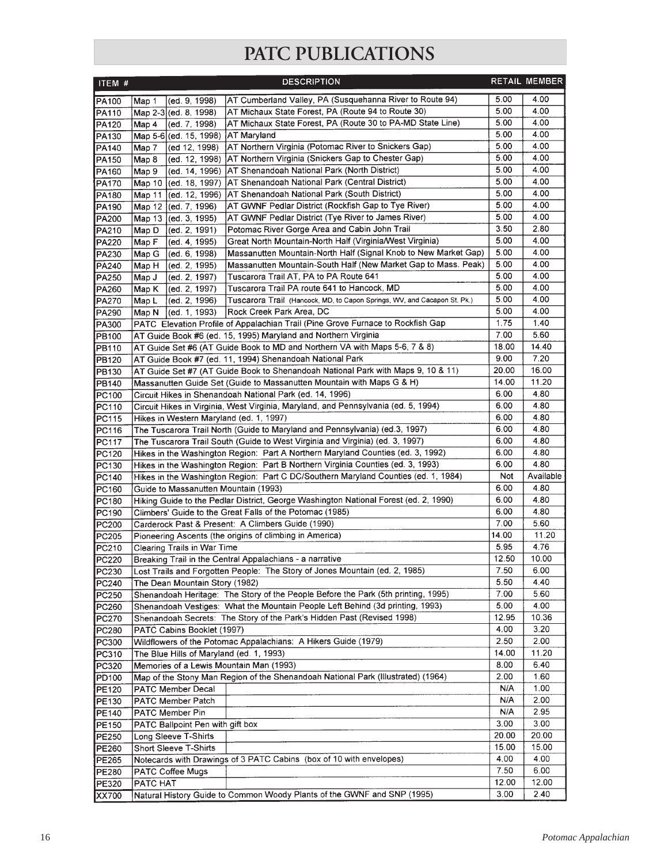# **PATC PUBLICATIONS**

| ITEM #         | <b>DESCRIPTION</b>                                                                                                                 |               | RETAIL MEMBER |
|----------------|------------------------------------------------------------------------------------------------------------------------------------|---------------|---------------|
| PA100          | AT Cumberland Valley, PA (Susquehanna River to Route 94)<br>Map 1<br>(ed. 9, 1998)                                                 | 5.00          | 4.00          |
| PA110          | AT Michaux State Forest, PA (Route 94 to Route 30)<br>Map 2-3 (ed. 8, 1998)                                                        | 5.00          | 4.00          |
| PA120          | AT Michaux State Forest, PA (Route 30 to PA-MD State Line)<br>(ed. 7, 1998)<br> Map 4                                              | 5.00          | 4.00          |
| PA130          | AT Maryland<br>Map 5-6 (ed. 15, 1998)                                                                                              | 5.00          | 4.00          |
| PA140          | AT Northern Virginia (Potomac River to Snickers Gap)<br>(ed 12, 1998)<br>Map 7                                                     | 5.00          | 4.00          |
| PA150          | AT Northern Virginia (Snickers Gap to Chester Gap)<br>(ed. 12, 1998)<br>Map 8                                                      | 5.00          | 4.00          |
| PA160          | AT Shenandoah National Park (North District)<br>(ed. 14, 1996)<br>Map 9                                                            | 5.00          | 4.00          |
| PA170          | AT Shenandoah National Park (Central District)<br>Map 10<br>[(ed. 18, 1997)                                                        | 5.00          | 4.00          |
| PA180          | AT Shenandoah National Park (South District)<br>(ed. 12. 1996)<br>Map 11                                                           | 5.00          | 4.00          |
| PA190          | AT GWNF Pedlar District (Rockfish Gap to Tye River)<br>Map 12 (ed. 7, 1996)                                                        | 5.00          | 4.00          |
| PA200          | AT GWNF Pedlar District (Tye River to James River)<br>(ed. 3, 1995)<br>Map $13$                                                    | 5.00          | 4.00          |
| PA210          | Potomac River Gorge Area and Cabin John Trail<br>(ed. 2, 1991)<br>Map D                                                            | 3.50          | 2.80          |
| <b>PA220</b>   | Great North Mountain-North Half (Virginia/West Virginia)<br>Map F<br>(ed. 4, 1995)                                                 | 5.00          | 4.00<br>4.00  |
| PA230          | Massanutten Mountain-North Half (Signal Knob to New Market Gap)<br>(ed. 6, 1998)<br>Map G                                          | 5.00<br>5.00  | 4.00          |
| PA240          | Massanutten Mountain-South Half (New Market Gap to Mass. Peak)<br>(ed. 2, 1995)<br>Map H<br>Tuscarora Trail AT, PA to PA Route 641 | 5.00          | 4.00          |
| PA250          | (ed. 2, 1997)<br>Map J<br>Tuscarora Trail PA route 641 to Hancock, MD<br>(ed. 2, 1997)                                             | 5.00          | 4.00          |
| PA260<br>PA270 | Map K<br>Tuscarora Trail (Hancock, MD, to Capon Springs, WV, and Cacapon St. Pk.)<br>(ed. 2, 1996)<br>Map L                        | 5.00          | 4.00          |
| PA290          | Rock Creek Park Area, DC<br>(ed. 1, 1993)<br>Map N                                                                                 | 5.00          | 4.00          |
| PA300          | PATC Elevation Profile of Appalachian Trail (Pine Grove Furnace to Rockfish Gap                                                    | 1.75          | 1.40          |
| PB100          | AT Guide Book #6 (ed. 15, 1995) Maryland and Northern Virginia                                                                     | 7.00          | 5.60          |
| PB110          | AT Guide Set #6 (AT Guide Book to MD and Northern VA with Maps 5-6, 7 & 8)                                                         | 18.00         | 14.40         |
| PB120          | AT Guide Book #7 (ed. 11, 1994) Shenandoah National Park                                                                           | 9.00          | 7.20          |
| PB130          | AT Guide Set #7 (AT Guide Book to Shenandoah National Park with Maps 9, 10 & 11)                                                   | 20.00         | 16.00         |
| <b>PB140</b>   | Massanutten Guide Set (Guide to Massanutten Mountain with Maps G & H)                                                              | 14.00         | 11.20         |
| PC100          | Circuit Hikes in Shenandoah National Park (ed. 14, 1996)                                                                           | 6.00          | 4.80          |
| PC110          | Circuit Hikes in Virginia, West Virginia, Maryland, and Pennsylvania (ed. 5, 1994)                                                 | 6.00          | 4.80          |
| PC115          | Hikes in Western Maryland (ed. 1, 1997)                                                                                            | 6.00          | 4.80          |
| PC116          | The Tuscarora Trail North (Guide to Maryland and Pennsylvania) (ed.3, 1997)                                                        | 6.00          | 4.80          |
| PC117          | The Tuscarora Trail South (Guide to West Virginia and Virginia) (ed. 3, 1997)                                                      | 6.00          | 4.80          |
| PC120          | Hikes in the Washington Region: Part A Northern Maryland Counties (ed. 3, 1992)                                                    | 6.00          | 4.80          |
| PC130          | Hikes in the Washington Region: Part B Northern Virginia Counties (ed. 3, 1993)                                                    | 6.00          | 4.80          |
| PC140          | Hikes in the Washington Region: Part C DC/Southern Maryland Counties (ed. 1, 1984)                                                 | <b>Not</b>    | Available     |
| PC160          | Guide to Massanutten Mountain (1993)                                                                                               | 6.00          | 4.80          |
| PC180          | Hiking Guide to the Pedlar District, George Washington National Forest (ed. 2, 1990)                                               | 6.00          | 4.80          |
| PC190          | Climbers' Guide to the Great Falls of the Potomac (1985)                                                                           | 6.00          | 4.80          |
| PC200          | Carderock Past & Present: A Climbers Guide (1990)                                                                                  | 7.00          | 5.60<br>11.20 |
| PC205          | Pioneering Ascents (the origins of climbing in America)                                                                            | 14.00<br>5.95 | 4.76          |
| PC210<br>PC220 | Clearing Trails in War Time<br>Breaking Trail in the Central Appalachians - a narrative                                            | 12.50         | 10.00         |
| PC230          | Lost Trails and Forgotten People: The Story of Jones Mountain (ed. 2, 1985)                                                        | 7.50          | 6.00          |
| PC240          | The Dean Mountain Story (1982)                                                                                                     | 5.50          | 4.40          |
| PC250          | Shenandoah Heritage: The Story of the People Before the Park (5th printing, 1995)                                                  | 7.00          | 5.60          |
| PC260          | Shenandoah Vestiges: What the Mountain People Left Behind (3d printing, 1993)                                                      | 5.00          | 4.00          |
| PC270          | Shenandoah Secrets: The Story of the Park's Hidden Past (Revised 1998)                                                             | 12.95         | 10.36         |
| PC280          | PATC Cabins Booklet (1997)                                                                                                         | 4.00          | 3.20          |
| <b>PC300</b>   | Wildflowers of the Potomac Appalachians: A Hikers Guide (1979)                                                                     | 2.50          | 2.00          |
| PC310          | The Blue Hills of Maryland (ed. 1, 1993)                                                                                           | 14.00         | 11.20         |
| PC320          | Memories of a Lewis Mountain Man (1993)                                                                                            | 8.00          | 6.40          |
| PD100          | Map of the Stony Man Region of the Shenandoah National Park (Illustrated) (1964)                                                   | 2.00          | 1.60          |
| PE120          | PATC Member Decal                                                                                                                  | N/A           | 1.00          |
| PE130          | PATC Member Patch                                                                                                                  | N/A           | 2.00          |
| PE140          | PATC Member Pin                                                                                                                    | N/A           | 2.95          |
| PE150          | PATC Ballpoint Pen with gift box                                                                                                   | 3.00          | 3.00          |
| PE250          | Long Sleeve T-Shirts                                                                                                               | 20.00         | 20.00         |
| PE260          | Short Sleeve T-Shirts                                                                                                              | 15.00         | 15.00         |
| <b>PE265</b>   | Notecards with Drawings of 3 PATC Cabins (box of 10 with envelopes)                                                                | 4.00          | 4.00          |
| PE280          | PATC Coffee Mugs                                                                                                                   | 7.50          | 6.00          |
| PE320          | PATC HAT                                                                                                                           | 12.00         | 12.00         |
| XX700          | Natural History Guide to Common Woody Plants of the GWNF and SNP (1995)                                                            | 3.00          | 2.40          |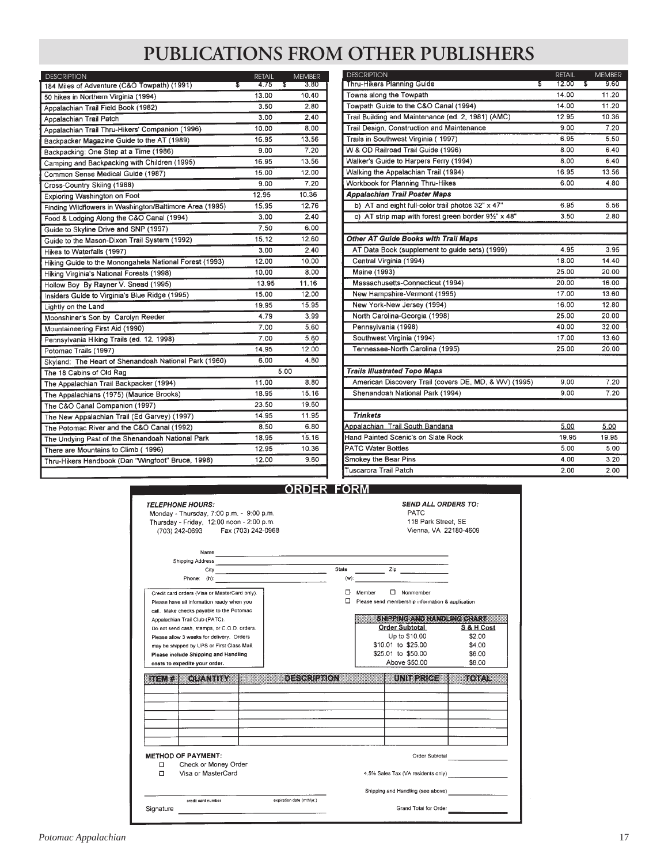# **PUBLICATIONS FROM OTHER PUBLISHERS**

| <b>DESCRIPTION</b>                                      | <b>RETAIL</b> | <b>MEMBER</b> | <b>DESCRIPTION</b>                                              | <b>RETAIL</b> | <b>MEMBER</b> |
|---------------------------------------------------------|---------------|---------------|-----------------------------------------------------------------|---------------|---------------|
| 184 Miles of Adventure (C&O Towpath) (1991)             | 4.75<br>\$    | 3.80<br>\$    | Thru-Hikers Planning Guide                                      | 12.00         | 9,60<br>s     |
| 50 hikes in Northern Virginia (1994)                    | 13.00         | 10.40         | Towns along the Towpath                                         | 14.00         | 11.20         |
| Appalachian Trail Field Book (1982)                     | 3.50          | 2.80          | Towpath Guide to the C&O Canal (1994)                           | 14.00         | 11.20         |
| Appalachian Trail Patch                                 | 3.00          | 2.40          | Trail Building and Maintenance (ed. 2, 1981) (AMC)              | 12.95         | 10.36         |
| Appalachian Trail Thru-Hikers' Companion (1996)         | 10.00         | 8.00          | Trail Design, Construction and Maintenance                      | 9.00          | 7.20          |
| Backpacker Magazine Guide to the AT (1989)              | 16.95         | 13.56         | Trails in Southwest Virginia (1997)                             | 6.95          | 5.50          |
| Backpacking: One Step at a Time (1986)                  | 9.00          | 7.20          | W & OD Railroad Trail Guide (1996)                              | 8.00          | 6.40          |
| Camping and Backpacking with Children (1995)            | 16.95         | 13.56         | Walker's Guide to Harpers Ferry (1994)                          | 8.00          | 6.40          |
| Common Sense Medical Guide (1987)                       | 15.00         | 12.00         | Walking the Appalachian Trail (1994)                            | 16.95         | 13.56         |
| Cross-Country Skiing (1988)                             | 9.00          | 7.20          | Workbook for Planning Thru-Hikes                                | 6.00          | 4.80          |
| Exploring Washington on Foot                            | 12.95         | 10.36         | <b>Appalachian Trail Poster Maps</b>                            |               |               |
| Finding Wildflowers in Washington/Baltimore Area (1995) | 15.95         | 12.76         | b) AT and eight full-color trail photos 32" x 47"               | 6.95          | 5.56          |
| Food & Lodging Along the C&O Canal (1994)               | 3.00          | 2.40          | c) AT strip map with forest green border $9\frac{1}{2}$ " x 48" | 3.50          | 2.80          |
| Guide to Skyline Drive and SNP (1997)                   | 7.50          | 6.00          |                                                                 |               |               |
| Guide to the Mason-Dixon Trail System (1992)            | 15.12         | 12.60         | Other AT Guide Books with Trail Maps                            |               |               |
| Hikes to Waterfalls (1997)                              | 3.00          | 2.40          | AT Data Book (supplement to guide sets) (1999)                  | 4.95          | 3.95          |
| Hiking Guide to the Monongahela National Forest (1993)  | 12.00         | 10.00         | Central Virginia (1994)                                         | 18.00         | 14.40         |
| Hiking Virginia's National Forests (1998)               | 10.00         | 8.00          | Maine (1993)                                                    | 25.00         | 20.00         |
| Hollow Boy By Rayner V. Snead (1995)                    | 13.95         | 11.16         | Massachusetts-Connecticut (1994)                                | 20.00         | 16.00         |
| Insiders Guide to Virginia's Blue Ridge (1995)          | 15.00         | 12.00         | New Hampshire-Vermont (1995)                                    | 17.00         | 13.60         |
| Lightly on the Land                                     | 19.95         | 15.95         | New York-New Jersey (1994)                                      | 16.00         | 12.80         |
| Moonshiner's Son by Carolyn Reeder                      | 4.79          | 3.99          | North Carolina-Georgia (1998)                                   | 25.00         | 20.00         |
| Mountaineering First Aid (1990)                         | 7.00          | 5.60          | Pennsylvania (1998)                                             | 40.00         | 32.00         |
| Pennsylvania Hiking Trails (ed. 12, 1998)               | 7.00          | 5.60          | Southwest Virginia (1994)                                       | 17.00         | 13.60         |
| Potomac Trails (1997)                                   | 14.95         | 12.00         | Tennessee-North Carolina (1995)                                 | 25.00         | 20.00         |
| Skyland: The Heart of Shenandoah National Park (1960)   | 6.00          | 4.80          |                                                                 |               |               |
| The 18 Cabins of Old Rag                                |               | 5.00          | <b>Trails Illustrated Topo Maps</b>                             |               |               |
| The Appalachian Trail Backpacker (1994)                 | 11.00         | 8.80          | American Discovery Trail (covers DE, MD, & WV) (1995)           | 9.00          | 7.20          |
| The Appalachians (1975) (Maurice Brooks)                | 18.95         | 15.16         | Shenandoah National Park (1994)                                 | 9.00          | 7.20          |
| The C&O Canal Companion (1997)                          | 23.50         | 19.60         |                                                                 |               |               |
| The New Appalachian Trail (Ed Garvey) (1997)            | 14.95         | 11.95         | <b>Trinkets</b>                                                 |               |               |
| The Potomac River and the C&O Canal (1992)              | 8.50          | 6.80          | Appalachian Trail South Bandana                                 | 5.00          | 5.00          |
| The Undying Past of the Shenandoah National Park        | 18.95         | 15.16         | Hand Painted Scenic's on Slate Rock                             | 19.95         | 19.95         |
| There are Mountains to Climb (1996)                     | 12.95         | 10.36         | <b>PATC Water Bottles</b>                                       | 5.00          | 5.00          |
| Thru-Hikers Handbook (Dan "Wingfoot" Bruce, 1998)       | 12.00         | 9.60          | Smokey the Bear Pins                                            | 4.00          | 3.20          |
|                                                         |               |               | Tuscarora Trail Patch                                           | 200           | 2.00          |

| Thru-Hikers Planning Guide<br>s                       | 12.00<br>s | 9.60  |
|-------------------------------------------------------|------------|-------|
|                                                       |            |       |
| Towns along the Towpath                               | 14.00      | 11.20 |
| Towpath Guide to the C&O Canal (1994)                 | 14.00      | 11.20 |
| Trail Building and Maintenance (ed. 2, 1981) (AMC)    | 12.95      | 10.36 |
| Trail Design, Construction and Maintenance            | 9.00       | 7.20  |
| Trails in Southwest Virginia (1997)                   | 6.95       | 5.50  |
| W & OD Railroad Trail Guide (1996)                    | 8.00       | 6.40  |
| Walker's Guide to Harpers Ferry (1994)                | 8.00       | 6.40  |
| Walking the Appalachian Trail (1994)                  | 16.95      | 13.56 |
| Workbook for Planning Thru-Hikes                      | 6.00       | 4.80  |
| <b>Appalachian Trail Poster Maps</b>                  |            |       |
| b) AT and eight full-color trail photos 32" x 47"     | 6.95       | 5.56  |
| c) AT strip map with forest green border 91/2" x 48"  | 3.50       | 2.80  |
|                                                       |            |       |
| <b>Other AT Guide Books with Trail Maps</b>           |            |       |
| AT Data Book (supplement to guide sets) (1999)        | 4.95       | 3.95  |
| Central Virginia (1994)                               | 18.00      | 14.40 |
| Maine (1993)                                          | 25.00      | 20.00 |
| Massachusetts-Connecticut (1994)                      | 20.00      | 16.00 |
| New Hampshire-Vermont (1995)                          | 17.00      | 13.60 |
| New York-New Jersey (1994)                            | 16.00      | 12.80 |
| North Carolina-Georgia (1998)                         | 25.00      | 20.00 |
| Pennsylvania (1998)                                   | 40.00      | 32.00 |
| Southwest Virginia (1994)                             | 17.00      | 13.60 |
| Tennessee-North Carolina (1995)                       | 25.00      | 20.00 |
|                                                       |            |       |
| <b>Trails Illustrated Topo Maps</b>                   |            |       |
| American Discovery Trail (covers DE, MD, & WV) (1995) | 9.00       | 7.20  |
| Shenandoah National Park (1994)                       | 9.00       | 7.20  |
|                                                       |            |       |
| <b>Trinkets</b>                                       |            |       |
| Appalachian Trail South Bandana                       | 5.00       | 5.00  |
| Hand Painted Scenic's on Slate Rock                   | 19.95      | 19.95 |
| <b>PATC Water Bottles</b>                             | 5.00       | 5.00  |
| Smokey the Bear Pins                                  | 4.00       | 3.20  |
| <b>Tuscarora Trail Patch</b>                          | 2.00       | 2.00  |

# **ORDER FORM**

|           | <b>TELEPHONE HOURS:</b><br>Monday - Thursday, 7:00 p.m. - 9:00 p.m.<br>Thursday - Friday, 12:00 noon - 2:00 p.m.<br>(703) 242-0693 Fax (703) 242-0968 |                           |                  |        | PATC<br>118 Park Street, SE                                          | <b>SEND ALL ORDERS TO:</b><br>Vienna, VA 22180-4609 |
|-----------|-------------------------------------------------------------------------------------------------------------------------------------------------------|---------------------------|------------------|--------|----------------------------------------------------------------------|-----------------------------------------------------|
|           | Name                                                                                                                                                  |                           | State<br>$(w)$ : |        | $\mathsf{Zip}$                                                       |                                                     |
|           | Credit card orders (Visa or MasterCard only).<br>Please have all infomation ready when you<br>call. Make checks payable to the Potomac                |                           | п.               | Member | $\Box$ Nonmember<br>Please send membership information & application |                                                     |
|           | Appalachian Trail Club (PATC).                                                                                                                        |                           |                  |        | SHEERGA DIA OOK GOBALA                                               |                                                     |
|           | Do not send cash, stamps, or C.O.D. orders.                                                                                                           |                           |                  |        | <b>Order Subtotal</b>                                                | S & H Cost                                          |
|           | Please allow 3 weeks for delivery. Orders                                                                                                             |                           |                  |        | Up to \$10.00                                                        | \$2.00                                              |
|           | may be shipped by UPS or First Class Mail.                                                                                                            |                           |                  |        | \$10.01 to \$25.00                                                   | \$4.00                                              |
|           | Please include Shipping and Handling                                                                                                                  |                           |                  |        | \$25.01 to \$50.00                                                   | \$6.00                                              |
|           | costs to expedite your order.                                                                                                                         |                           |                  |        | Above \$50.00                                                        | \$8.00                                              |
| ina J.C.  | ou urba                                                                                                                                               | <b>DESECTION</b>          |                  |        | unistro                                                              | ako) a T                                            |
|           |                                                                                                                                                       |                           |                  |        |                                                                      |                                                     |
|           |                                                                                                                                                       |                           |                  |        |                                                                      |                                                     |
|           |                                                                                                                                                       |                           |                  |        |                                                                      |                                                     |
|           |                                                                                                                                                       |                           |                  |        |                                                                      |                                                     |
|           |                                                                                                                                                       |                           |                  |        |                                                                      |                                                     |
|           | <b>METHOD OF PAYMENT:</b>                                                                                                                             |                           |                  |        | Order Subtotal                                                       |                                                     |
| □         | Check or Money Order                                                                                                                                  |                           |                  |        |                                                                      |                                                     |
| п         | Visa or MasterCard                                                                                                                                    |                           |                  |        |                                                                      | 4.5% Sales Tax (VA residents only)                  |
|           |                                                                                                                                                       |                           |                  |        | Shipping and Handling (see above)                                    |                                                     |
|           | credit card number                                                                                                                                    | expiration date (mth/yr.) |                  |        |                                                                      |                                                     |
| Signature |                                                                                                                                                       |                           |                  |        | Grand Total for Order                                                |                                                     |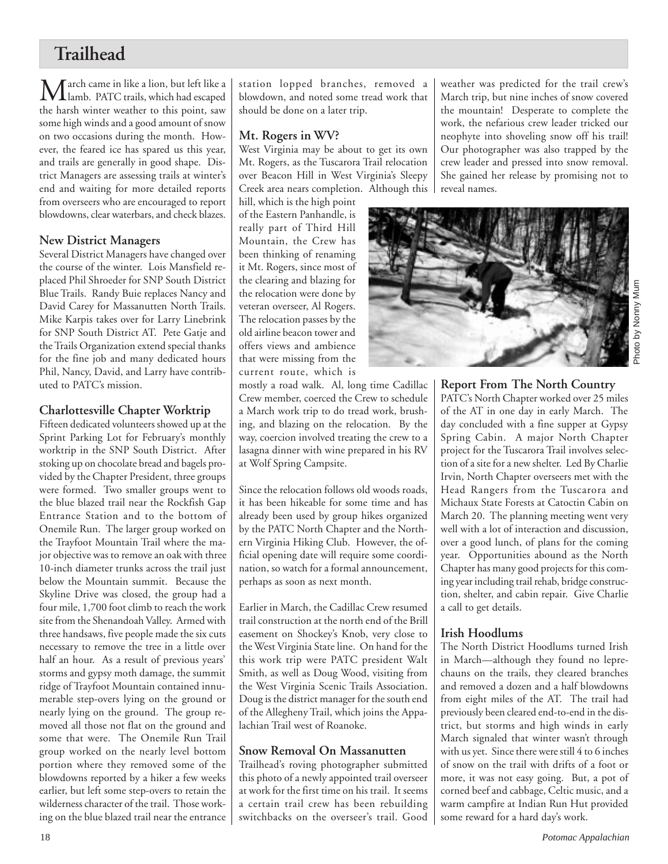# **Trailhead**

March came in like a lion, but left like a lamb. PATC trails, which had escaped the harsh winter weather to this point, saw some high winds and a good amount of snow on two occasions during the month. However, the feared ice has spared us this year, and trails are generally in good shape. District Managers are assessing trails at winter's end and waiting for more detailed reports from overseers who are encouraged to report blowdowns, clear waterbars, and check blazes.

### **New District Managers**

Several District Managers have changed over the course of the winter. Lois Mansfield replaced Phil Shroeder for SNP South District Blue Trails. Randy Buie replaces Nancy and David Carey for Massanutten North Trails. Mike Karpis takes over for Larry Linebrink for SNP South District AT. Pete Gatje and the Trails Organization extend special thanks for the fine job and many dedicated hours Phil, Nancy, David, and Larry have contributed to PATC's mission.

# **Charlottesville Chapter Worktrip**

Fifteen dedicated volunteers showed up at the Sprint Parking Lot for February's monthly worktrip in the SNP South District. After stoking up on chocolate bread and bagels provided by the Chapter President, three groups were formed. Two smaller groups went to the blue blazed trail near the Rockfish Gap Entrance Station and to the bottom of Onemile Run. The larger group worked on the Trayfoot Mountain Trail where the major objective was to remove an oak with three 10-inch diameter trunks across the trail just below the Mountain summit. Because the Skyline Drive was closed, the group had a four mile, 1,700 foot climb to reach the work site from the Shenandoah Valley. Armed with three handsaws, five people made the six cuts necessary to remove the tree in a little over half an hour. As a result of previous years' storms and gypsy moth damage, the summit ridge of Trayfoot Mountain contained innumerable step-overs lying on the ground or nearly lying on the ground. The group removed all those not flat on the ground and some that were. The Onemile Run Trail group worked on the nearly level bottom portion where they removed some of the blowdowns reported by a hiker a few weeks earlier, but left some step-overs to retain the wilderness character of the trail. Those working on the blue blazed trail near the entrance station lopped branches, removed a blowdown, and noted some tread work that should be done on a later trip.

### **Mt. Rogers in WV?**

West Virginia may be about to get its own Mt. Rogers, as the Tuscarora Trail relocation over Beacon Hill in West Virginia's Sleepy Creek area nears completion. Although this

hill, which is the high point of the Eastern Panhandle, is really part of Third Hill Mountain, the Crew has been thinking of renaming it Mt. Rogers, since most of the clearing and blazing for the relocation were done by veteran overseer, Al Rogers. The relocation passes by the old airline beacon tower and offers views and ambience that were missing from the current route, which is

mostly a road walk. Al, long time Cadillac Crew member, coerced the Crew to schedule a March work trip to do tread work, brushing, and blazing on the relocation. By the way, coercion involved treating the crew to a lasagna dinner with wine prepared in his RV at Wolf Spring Campsite.

Since the relocation follows old woods roads, it has been hikeable for some time and has already been used by group hikes organized by the PATC North Chapter and the Northern Virginia Hiking Club. However, the official opening date will require some coordination, so watch for a formal announcement, perhaps as soon as next month.

Earlier in March, the Cadillac Crew resumed trail construction at the north end of the Brill easement on Shockey's Knob, very close to the West Virginia State line. On hand for the this work trip were PATC president Walt Smith, as well as Doug Wood, visiting from the West Virginia Scenic Trails Association. Doug is the district manager for the south end of the Allegheny Trail, which joins the Appalachian Trail west of Roanoke.

# **Snow Removal On Massanutten**

Trailhead's roving photographer submitted this photo of a newly appointed trail overseer at work for the first time on his trail. It seems a certain trail crew has been rebuilding switchbacks on the overseer's trail. Good weather was predicted for the trail crew's March trip, but nine inches of snow covered the mountain! Desperate to complete the work, the nefarious crew leader tricked our neophyte into shoveling snow off his trail! Our photographer was also trapped by the crew leader and pressed into snow removal. She gained her release by promising not to reveal names.



**Report From The North Country**

PATC's North Chapter worked over 25 miles of the AT in one day in early March. The day concluded with a fine supper at Gypsy Spring Cabin. A major North Chapter project for the Tuscarora Trail involves selection of a site for a new shelter. Led By Charlie Irvin, North Chapter overseers met with the Head Rangers from the Tuscarora and Michaux State Forests at Catoctin Cabin on March 20. The planning meeting went very well with a lot of interaction and discussion, over a good lunch, of plans for the coming year. Opportunities abound as the North Chapter has many good projects for this coming year including trail rehab, bridge construction, shelter, and cabin repair. Give Charlie a call to get details.

# **Irish Hoodlums**

The North District Hoodlums turned Irish in March—although they found no leprechauns on the trails, they cleared branches and removed a dozen and a half blowdowns from eight miles of the AT. The trail had previously been cleared end-to-end in the district, but storms and high winds in early March signaled that winter wasn't through with us yet. Since there were still 4 to 6 inches of snow on the trail with drifts of a foot or more, it was not easy going. But, a pot of corned beef and cabbage, Celtic music, and a warm campfire at Indian Run Hut provided some reward for a hard day's work.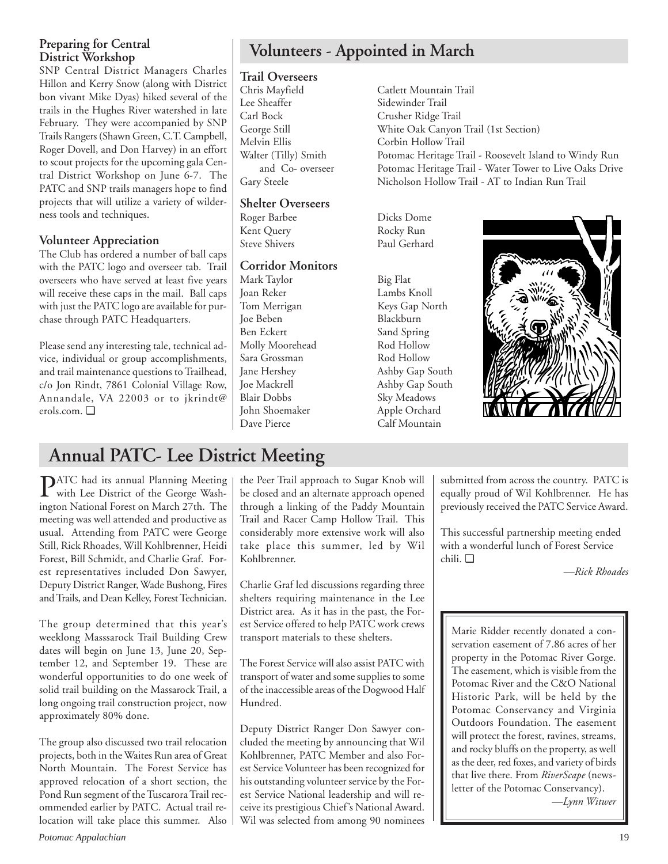# **Preparing for Central District Workshop**

SNP Central District Managers Charles Hillon and Kerry Snow (along with District bon vivant Mike Dyas) hiked several of the trails in the Hughes River watershed in late February. They were accompanied by SNP Trails Rangers (Shawn Green, C.T. Campbell, Roger Dovell, and Don Harvey) in an effort to scout projects for the upcoming gala Central District Workshop on June 6-7. The PATC and SNP trails managers hope to find projects that will utilize a variety of wilderness tools and techniques.

# **Volunteer Appreciation**

The Club has ordered a number of ball caps with the PATC logo and overseer tab. Trail overseers who have served at least five years will receive these caps in the mail. Ball caps with just the PATC logo are available for purchase through PATC Headquarters.

Please send any interesting tale, technical advice, individual or group accomplishments, and trail maintenance questions to Trailhead, c/o Jon Rindt, 7861 Colonial Village Row, Annandale, VA 22003 or to jkrindt@ erols.com. ❑

# **Volunteers - Appointed in March**

# **Trail Overseers**

Chris Mayfield Catlett Mountain Trail Carl Bock Crusher Ridge Trail Melvin Ellis Corbin Hollow Trail

### **Shelter Overseers**

Roger Barbee Dicks Dome Kent Query Rocky Run

# **Corridor Monitors**

Mark Taylor Big Flat Joan Reker Lambs Knoll Tom Merrigan Keys Gap North Joe Beben Blackburn Ben Eckert Sand Spring Molly Moorehead Rod Hollow Sara Grossman Rod Hollow Jane Hershey Ashby Gap South Joe Mackrell Ashby Gap South Blair Dobbs Sky Meadows John Shoemaker Apple Orchard Dave Pierce Calf Mountain

Sidewinder Trail George Still White Oak Canyon Trail (1st Section) Walter (Tilly) Smith Potomac Heritage Trail - Roosevelt Island to Windy Run and Co- overseer Potomac Heritage Trail - Water Tower to Live Oaks Drive Gary Steele Nicholson Hollow Trail - AT to Indian Run Trail

Paul Gerhard



# **Annual PATC- Lee District Meeting**

**PATC** had its annual Planning Meeting<br>with Lee District of the George Washington National Forest on March 27th. The meeting was well attended and productive as usual. Attending from PATC were George Still, Rick Rhoades, Will Kohlbrenner, Heidi Forest, Bill Schmidt, and Charlie Graf. Forest representatives included Don Sawyer, Deputy District Ranger, Wade Bushong, Fires and Trails, and Dean Kelley, Forest Technician.

The group determined that this year's weeklong Masssarock Trail Building Crew dates will begin on June 13, June 20, September 12, and September 19. These are wonderful opportunities to do one week of solid trail building on the Massarock Trail, a long ongoing trail construction project, now approximately 80% done.

The group also discussed two trail relocation projects, both in the Waites Run area of Great North Mountain. The Forest Service has approved relocation of a short section, the Pond Run segment of the Tuscarora Trail recommended earlier by PATC. Actual trail relocation will take place this summer. Also the Peer Trail approach to Sugar Knob will be closed and an alternate approach opened through a linking of the Paddy Mountain Trail and Racer Camp Hollow Trail. This considerably more extensive work will also take place this summer, led by Wil Kohlbrenner.

Charlie Graf led discussions regarding three shelters requiring maintenance in the Lee District area. As it has in the past, the Forest Service offered to help PATC work crews transport materials to these shelters.

The Forest Service will also assist PATC with transport of water and some supplies to some of the inaccessible areas of the Dogwood Half Hundred.

Deputy District Ranger Don Sawyer concluded the meeting by announcing that Wil Kohlbrenner, PATC Member and also Forest Service Volunteer has been recognized for his outstanding volunteer service by the Forest Service National leadership and will receive its prestigious Chief's National Award. Wil was selected from among 90 nominees submitted from across the country. PATC is equally proud of Wil Kohlbrenner. He has previously received the PATC Service Award.

This successful partnership meeting ended with a wonderful lunch of Forest Service chili. ❑

*—Rick Rhoades*

Marie Ridder recently donated a conservation easement of 7.86 acres of her property in the Potomac River Gorge. The easement, which is visible from the Potomac River and the C&O National Historic Park, will be held by the Potomac Conservancy and Virginia Outdoors Foundation. The easement will protect the forest, ravines, streams, and rocky bluffs on the property, as well as the deer, red foxes, and variety of birds that live there. From *RiverScape* (newsletter of the Potomac Conservancy). *—Lynn Witwer*